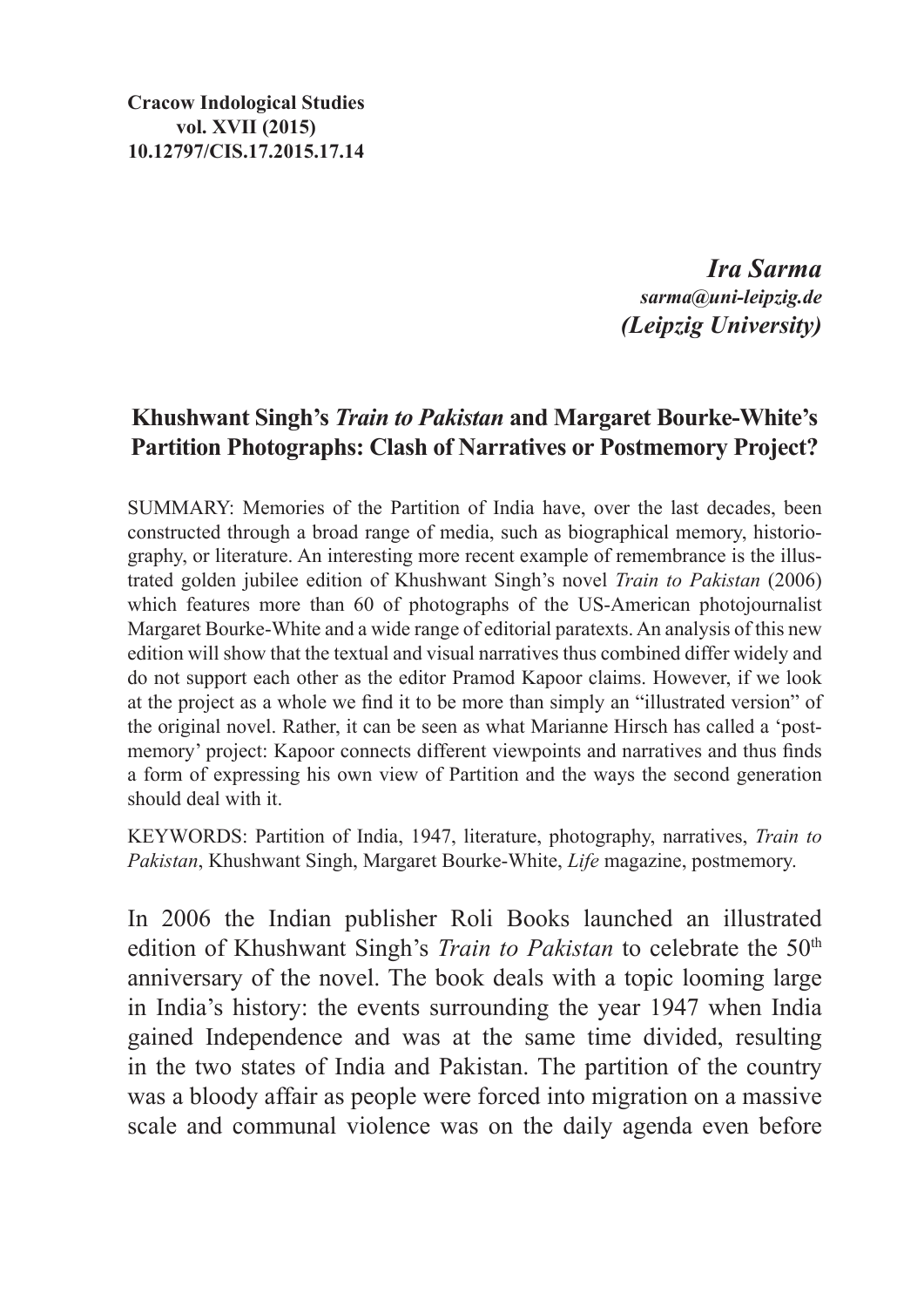**Cracow Indological Studies vol. XVII (2015) 10.12797/CIS.17.2015.17.14**

> *Ira Sarma sarma@uni-leipzig.de (Leipzig University)*

# **Khushwant Singh's** *Train to Pakistan* **and Margaret Bourke-White's Partition Photographs: Clash of Narratives or Postmemory Project?**

SUMMARY: Memories of the Partition of India have, over the last decades, been constructed through a broad range of media, such as biographical memory, historiography, or literature. An interesting more recent example of remembrance is the illustrated golden jubilee edition of Khushwant Singh's novel *Train to Pakistan* (2006) which features more than 60 of photographs of the US-American photojournalist Margaret Bourke-White and a wide range of editorial paratexts. An analysis of this new edition will show that the textual and visual narratives thus combined differ widely and do not support each other as the editor Pramod Kapoor claims. However, if we look at the project as a whole we find it to be more than simply an "illustrated version" of the original novel. Rather, it can be seen as what Marianne Hirsch has called a 'postmemory' project: Kapoor connects different viewpoints and narratives and thus finds a form of expressing his own view of Partition and the ways the second generation should deal with it.

Keywords: Partition of India, 1947, literature, photography, narratives, *Train to Pakistan*, Khushwant Singh, Margaret Bourke-White, *Life* magazine, postmemory.

In 2006 the Indian publisher Roli Books launched an illustrated edition of Khushwant Singh's *Train to Pakistan* to celebrate the 50<sup>th</sup> anniversary of the novel. The book deals with a topic looming large in India's history: the events surrounding the year 1947 when India gained Independence and was at the same time divided, resulting in the two states of India and Pakistan. The partition of the country was a bloody affair as people were forced into migration on a massive scale and communal violence was on the daily agenda even before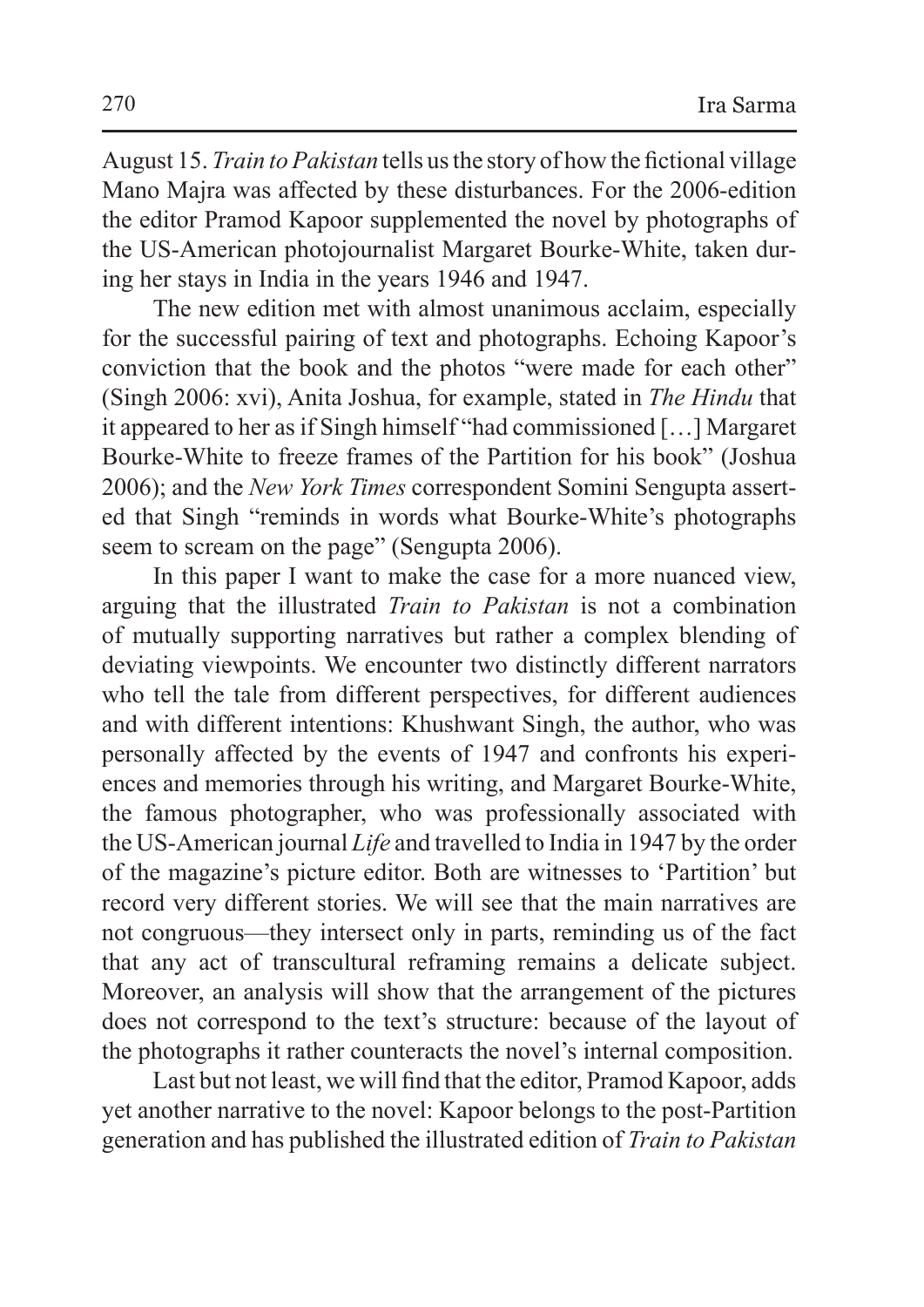August 15. *Train toPakistan* tells us the story of how the fictional village Mano Majra was affected by these disturbances. For the 2006-edition the editor Pramod Kapoor supplemented the novel by photographs of the US-American photojournalist Margaret Bourke-White, taken during her stays in India in the years 1946 and 1947.

The new edition met with almost unanimous acclaim, especially for the successful pairing of text and photographs. Echoing Kapoor's conviction that the book and the photos "were made for each other" (Singh 2006: xvi), Anita Joshua, for example, stated in *The Hindu* that it appeared to her asif Singh himself "had commissioned […] Margaret Bourke-White to freeze frames of the Partition for his book" (Joshua 2006); and the *New York Times* correspondent Somini Sengupta asserted that Singh "reminds in words what Bourke-White's photographs seem to scream on the page" (Sengupta 2006).

In this paper I want to make the case for a more nuanced view, arguing that the illustrated *Train to Pakistan* is not a combination of mutually supporting narratives but rather a complex blending of deviating viewpoints. We encounter two distinctly different narrators who tell the tale from different perspectives, for different audiences and with different intentions: Khushwant Singh, the author, who was personally affected by the events of 1947 and confronts his experiences and memories through his writing, and Margaret Bourke-White, the famous photographer, who was professionally associated with the US-American journal *Life* and travelled to India in 1947 by the order of the magazine's picture editor. Both are witnesses to 'Partition' but record very different stories. We will see that the main narratives are not congruous—they intersect only in parts, reminding us of the fact that any act of transcultural reframing remains a delicate subject. Moreover, an analysis will show that the arrangement of the pictures does not correspond to the text's structure: because of the layout of the photographs it rather counteracts the novel's internal composition.

Last but not least, we will find that the editor, Pramod Kapoor, adds yet another narrative to the novel: Kapoor belongs to the post-Partition generation and has published the illustrated edition of *Train to Pakistan*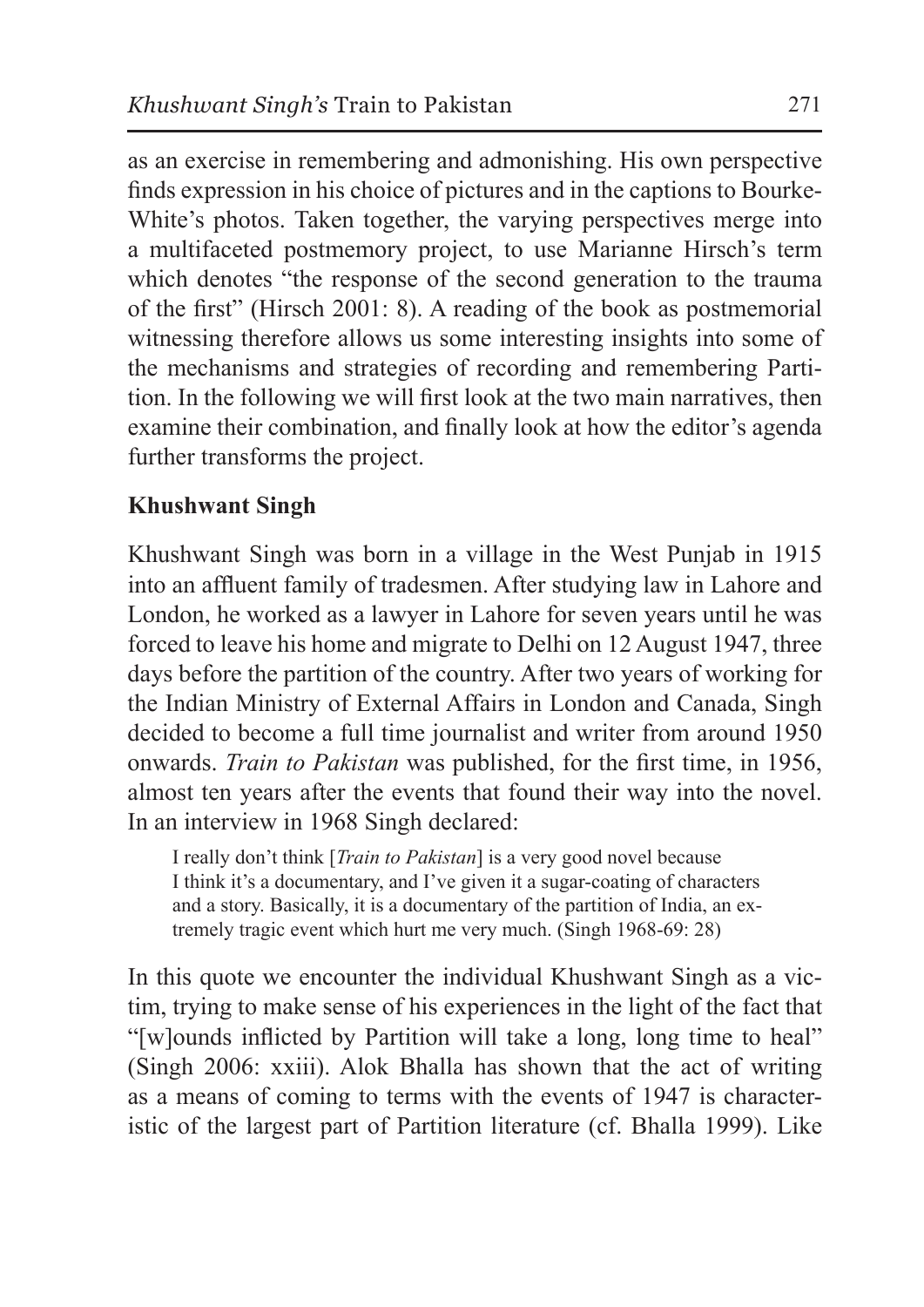as an exercise in remembering and admonishing. His own perspective finds expression in his choice of pictures and in the captions to Bourke-White's photos. Taken together, the varying perspectives merge into a multifaceted postmemory project, to use Marianne Hirsch's term which denotes "the response of the second generation to the trauma of the first" (Hirsch 2001: 8). A reading of the book as postmemorial witnessing therefore allows us some interesting insights into some of the mechanisms and strategies of recording and remembering Partition. In the following we will first look at the two main narratives, then examine their combination, and finally look at how the editor's agenda further transforms the project.

# **Khushwant Singh**

Khushwant Singh was born in a village in the West Punjab in 1915 into an affluent family of tradesmen. After studying law in Lahore and London, he worked as a lawyer in Lahore for seven years until he was forced to leave his home and migrate to Delhi on 12 August 1947, three days before the partition of the country. After two years of working for the Indian Ministry of External Affairs in London and Canada, Singh decided to become a full time journalist and writer from around 1950 onwards. *Train to Pakistan* was published, for the first time, in 1956, almost ten years after the events that found their way into the novel. In an interview in 1968 Singh declared:

I really don't think [*Train to Pakistan*] is a very good novel because I think it's a documentary, and I've given it a sugar-coating of characters and a story. Basically, it is a documentary of the partition of India, an extremely tragic event which hurt me very much. (Singh 1968-69: 28)

In this quote we encounter the individual Khushwant Singh as a victim, trying to make sense of his experiences in the light of the fact that "[w]ounds inflicted by Partition will take a long, long time to heal" (Singh 2006: xxiii). Alok Bhalla has shown that the act of writing as a means of coming to terms with the events of 1947 is characteristic of the largest part of Partition literature (cf. Bhalla 1999). Like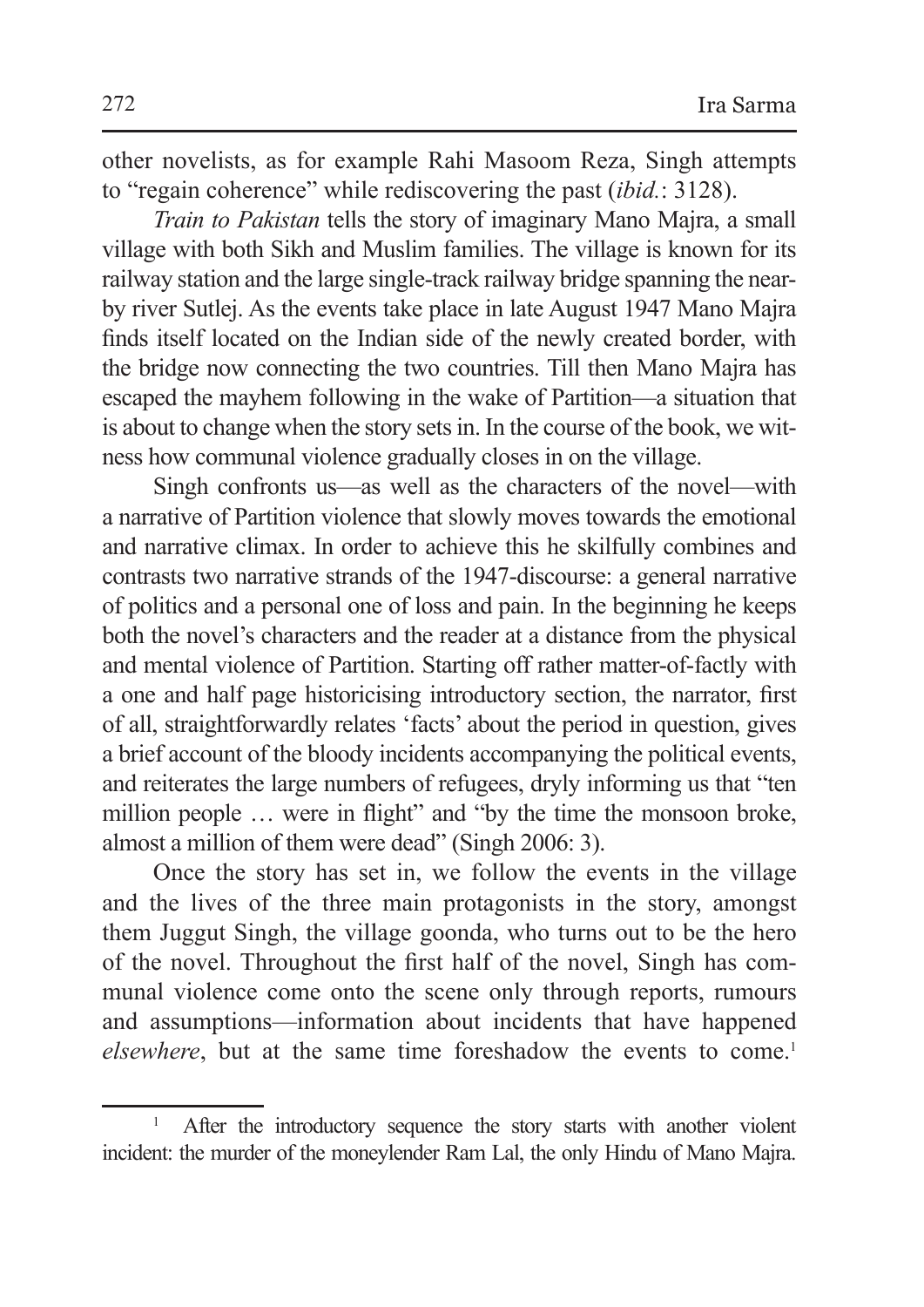other novelists, as for example Rahi Masoom Reza, Singh attempts to "regain coherence" while rediscovering the past (*ibid.*: 3128).

*Train to Pakistan* tells the story of imaginary Mano Majra, a small village with both Sikh and Muslim families. The village is known for its railway station and the large single-track railway bridge spanning the nearby river Sutlej. As the events take place in late August 1947 Mano Majra finds itself located on the Indian side of the newly created border, with the bridge now connecting the two countries. Till then Mano Majra has escaped the mayhem following in the wake of Partition—a situation that is about to change when the story sets in. In the course of the book, we witness how communal violence gradually closes in on the village.

Singh confronts us—as well as the characters of the novel—with a narrative of Partition violence that slowly moves towards the emotional and narrative climax. In order to achieve this he skilfully combines and contrasts two narrative strands of the 1947-discourse: a general narrative of politics and a personal one of loss and pain. In the beginning he keeps both the novel's characters and the reader at a distance from the physical and mental violence of Partition. Starting off rather matter-of-factly with a one and half page historicising introductory section, the narrator, first of all, straightforwardly relates 'facts' about the period in question, gives a brief account of the bloody incidents accompanying the political events, and reiterates the large numbers of refugees, dryly informing us that "ten million people … were in flight" and "by the time the monsoon broke, almost a million of them were dead" (Singh 2006: 3).

Once the story has set in, we follow the events in the village and the lives of the three main protagonists in the story, amongst them Juggut Singh, the village goonda, who turns out to be the hero of the novel. Throughout the first half of the novel, Singh has communal violence come onto the scene only through reports, rumours and assumptions—information about incidents that have happened *elsewhere*, but at the same time foreshadow the events to come.<sup>1</sup>

<sup>&</sup>lt;sup>1</sup> After the introductory sequence the story starts with another violent incident: the murder of the moneylender Ram Lal, the only Hindu of Mano Majra.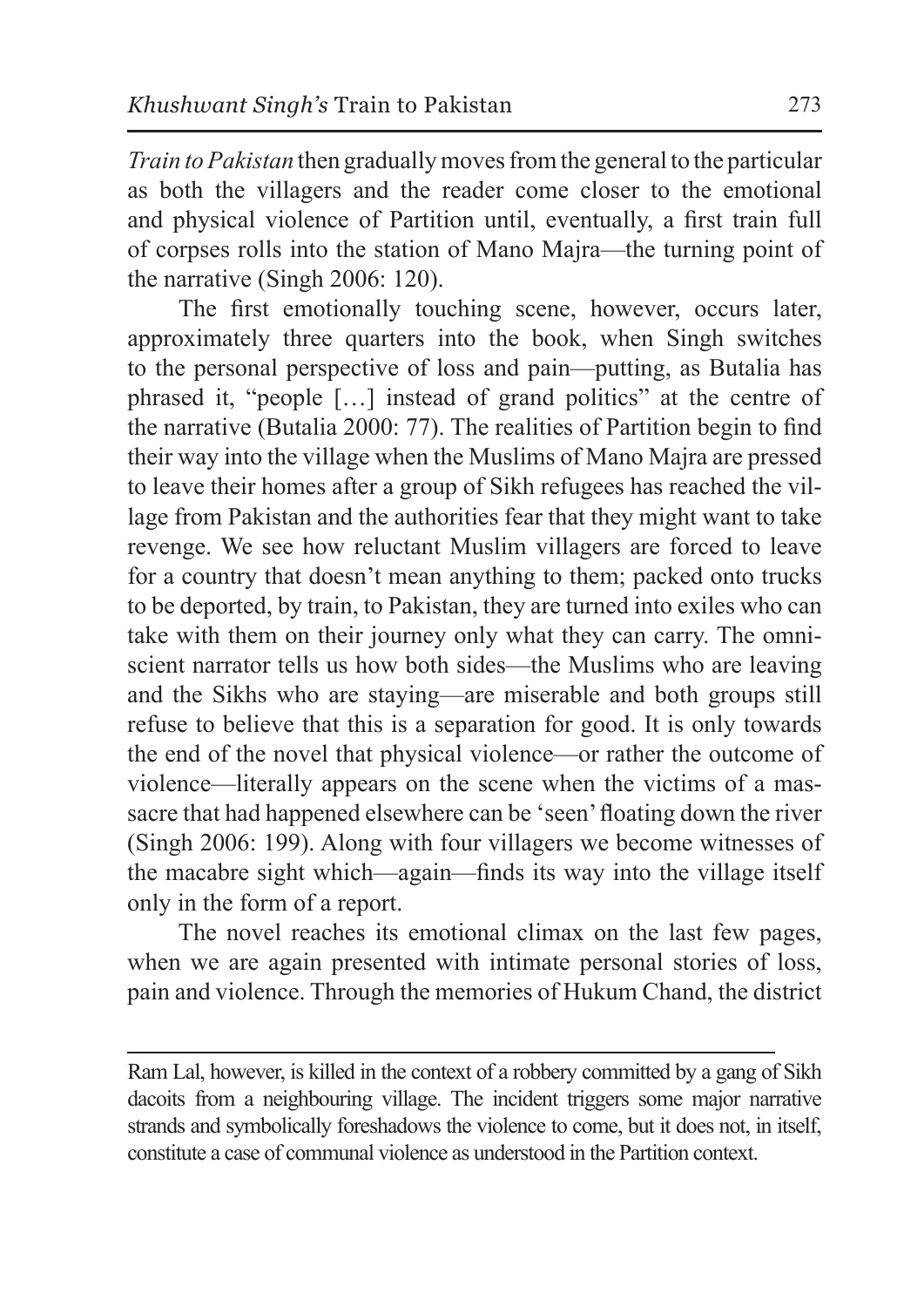*Train to Pakistan* then gradually moves from the general to the particular as both the villagers and the reader come closer to the emotional and physical violence of Partition until, eventually, a first train full of corpses rolls into the station of Mano Majra—the turning point of the narrative (Singh 2006: 120).

The first emotionally touching scene, however, occurs later, approximately three quarters into the book, when Singh switches to the personal perspective of loss and pain—putting, as Butalia has phrased it, "people […] instead of grand politics" at the centre of the narrative (Butalia 2000: 77). The realities of Partition begin to find their way into the village when the Muslims of Mano Majra are pressed to leave their homes after a group of Sikh refugees has reached the village from Pakistan and the authorities fear that they might want to take revenge. We see how reluctant Muslim villagers are forced to leave for a country that doesn't mean anything to them; packed onto trucks to be deported, by train, to Pakistan, they are turned into exiles who can take with them on their journey only what they can carry. The omniscient narrator tells us how both sides—the Muslims who are leaving and the Sikhs who are staying—are miserable and both groups still refuse to believe that this is a separation for good. It is only towards the end of the novel that physical violence—or rather the outcome of violence—literally appears on the scene when the victims of a massacre that had happened elsewhere can be 'seen' floating down the river (Singh 2006: 199). Along with four villagers we become witnesses of the macabre sight which—again—finds its way into the village itself only in the form of a report.

The novel reaches its emotional climax on the last few pages, when we are again presented with intimate personal stories of loss, pain and violence. Through the memories of Hukum Chand, the district

Ram Lal, however, is killed in the context of a robbery committed by a gang of Sikh dacoits from a neighbouring village. The incident triggers some major narrative strands and symbolically foreshadows the violence to come, but it does not, in itself, constitute a case of communal violence as understood in the Partition context.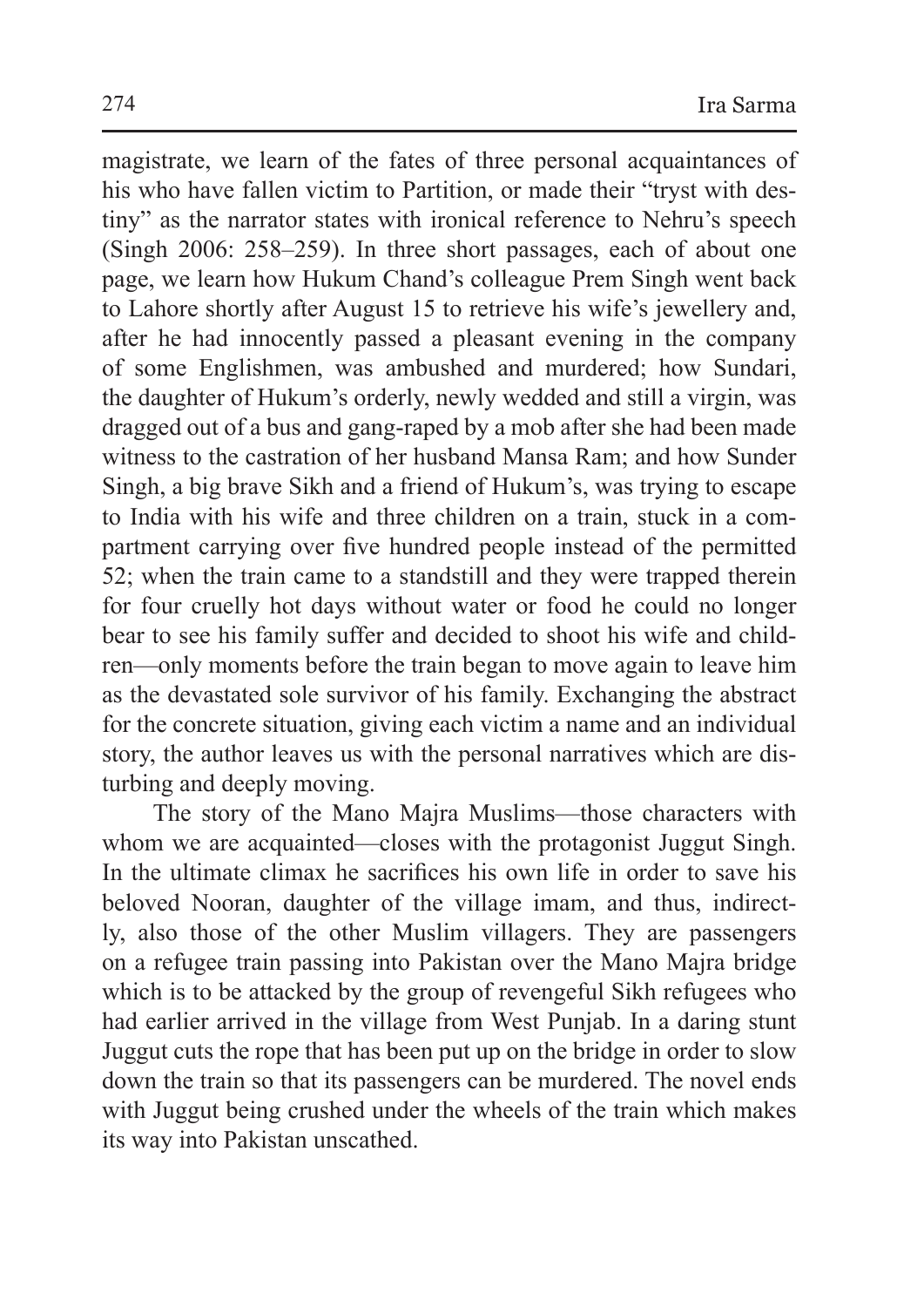magistrate, we learn of the fates of three personal acquaintances of his who have fallen victim to Partition, or made their "tryst with destiny" as the narrator states with ironical reference to Nehru's speech (Singh 2006: 258–259). In three short passages, each of about one page, we learn how Hukum Chand's colleague Prem Singh went back to Lahore shortly after August 15 to retrieve his wife's jewellery and, after he had innocently passed a pleasant evening in the company of some Englishmen, was ambushed and murdered; how Sundari, the daughter of Hukum's orderly, newly wedded and still a virgin, was dragged out of a bus and gang-raped by a mob after she had been made witness to the castration of her husband Mansa Ram; and how Sunder Singh, a big brave Sikh and a friend of Hukum's, was trying to escape to India with his wife and three children on a train, stuck in a compartment carrying over five hundred people instead of the permitted 52; when the train came to a standstill and they were trapped therein for four cruelly hot days without water or food he could no longer bear to see his family suffer and decided to shoot his wife and children—only moments before the train began to move again to leave him as the devastated sole survivor of his family. Exchanging the abstract for the concrete situation, giving each victim a name and an individual story, the author leaves us with the personal narratives which are disturbing and deeply moving.

The story of the Mano Majra Muslims—those characters with whom we are acquainted—closes with the protagonist Juggut Singh. In the ultimate climax he sacrifices his own life in order to save his beloved Nooran, daughter of the village imam, and thus, indirectly, also those of the other Muslim villagers. They are passengers on a refugee train passing into Pakistan over the Mano Majra bridge which is to be attacked by the group of revengeful Sikh refugees who had earlier arrived in the village from West Punjab. In a daring stunt Juggut cuts the rope that has been put up on the bridge in order to slow down the train so that its passengers can be murdered. The novel ends with Juggut being crushed under the wheels of the train which makes its way into Pakistan unscathed.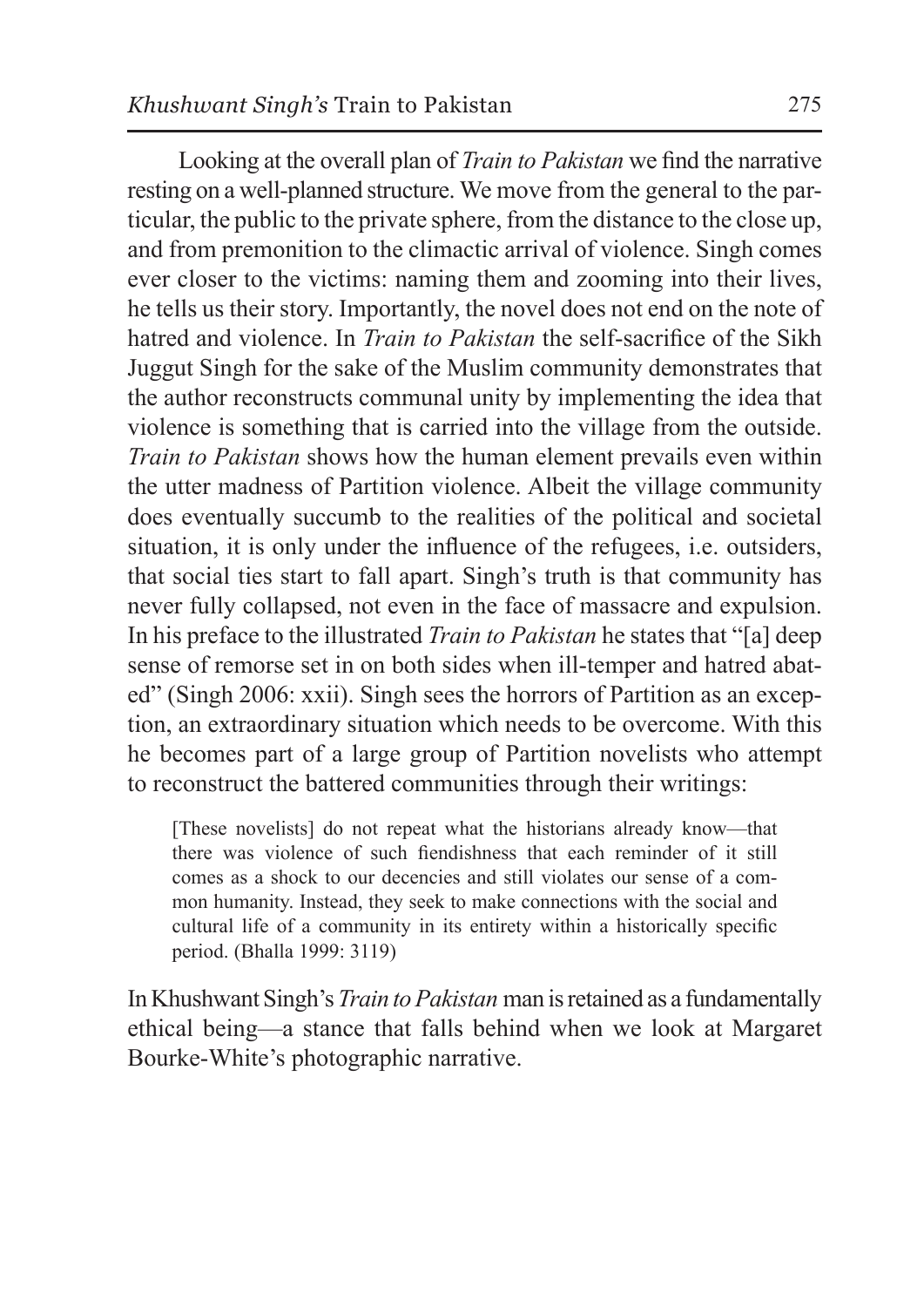Looking at the overall plan of *Train to Pakistan* we find the narrative resting on a well-planned structure. We move from the general to the particular, the public to the private sphere, from the distance to the close up, and from premonition to the climactic arrival of violence. Singh comes ever closer to the victims: naming them and zooming into their lives, he tells us their story. Importantly, the novel does not end on the note of hatred and violence. In *Train to Pakistan* the self-sacrifice of the Sikh Juggut Singh for the sake of the Muslim community demonstrates that the author reconstructs communal unity by implementing the idea that violence is something that is carried into the village from the outside. *Train to Pakistan* shows how the human element prevails even within the utter madness of Partition violence. Albeit the village community does eventually succumb to the realities of the political and societal situation, it is only under the influence of the refugees, i.e. outsiders, that social ties start to fall apart. Singh's truth is that community has never fully collapsed, not even in the face of massacre and expulsion. In his preface to the illustrated *Train to Pakistan* he states that "[a] deep sense of remorse set in on both sides when ill-temper and hatred abated" (Singh 2006: xxii). Singh sees the horrors of Partition as an exception, an extraordinary situation which needs to be overcome. With this he becomes part of a large group of Partition novelists who attempt to reconstruct the battered communities through their writings:

[These novelists] do not repeat what the historians already know—that there was violence of such fiendishness that each reminder of it still comes as a shock to our decencies and still violates our sense of a common humanity. Instead, they seek to make connections with the social and cultural life of a community in its entirety within a historically specific period. (Bhalla 1999: 3119)

In Khushwant Singh's *Train to Pakistan* man is retained as a fundamentally ethical being—a stance that falls behind when we look at Margaret Bourke-White's photographic narrative.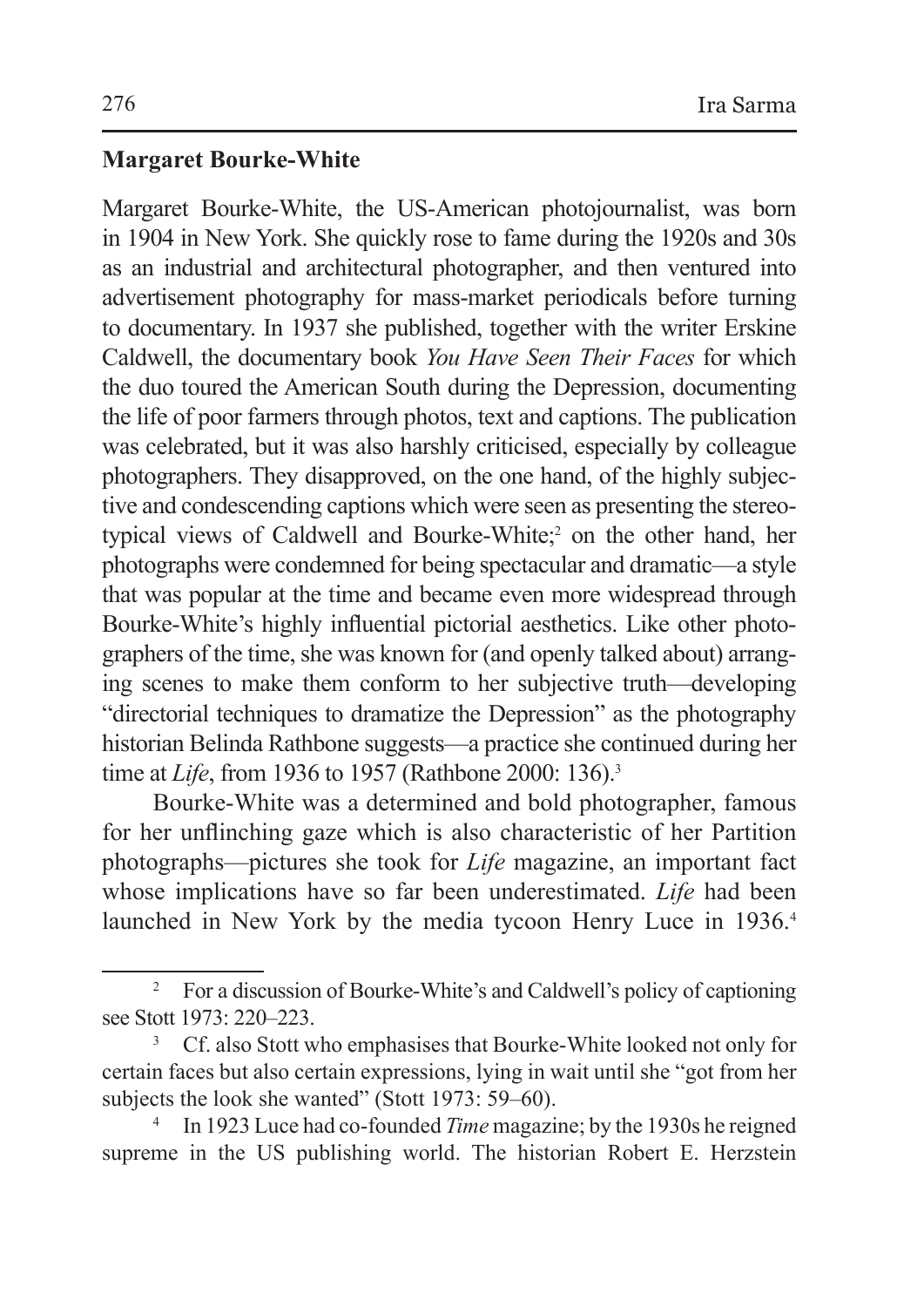#### **Margaret Bourke-White**

Margaret Bourke-White, the US-American photojournalist, was born in 1904 in New York. She quickly rose to fame during the 1920s and 30s as an industrial and architectural photographer, and then ventured into advertisement photography for mass-market periodicals before turning to documentary. In 1937 she published, together with the writer Erskine Caldwell, the documentary book *You Have Seen Their Faces* for which the duo toured the American South during the Depression, documenting the life of poor farmers through photos, text and captions. The publication was celebrated, but it was also harshly criticised, especially by colleague photographers. They disapproved, on the one hand, of the highly subjective and condescending captions which were seen as presenting the stereotypical views of Caldwell and Bourke-White;2 on the other hand, her photographs were condemned for being spectacular and dramatic—a style that was popular at the time and became even more widespread through Bourke-White's highly influential pictorial aesthetics. Like other photographers of the time, she was known for (and openly talked about) arranging scenes to make them conform to her subjective truth—developing "directorial techniques to dramatize the Depression" as the photography historian Belinda Rathbone suggests—a practice she continued during her time at *Life*, from 1936 to 1957 (Rathbone 2000: 136).<sup>3</sup>

Bourke-White was a determined and bold photographer, famous for her unflinching gaze which is also characteristic of her Partition photographs—pictures she took for *Life* magazine, an important fact whose implications have so far been underestimated. *Life* had been launched in New York by the media tycoon Henry Luce in 1936.<sup>4</sup>

<sup>&</sup>lt;sup>2</sup> For a discussion of Bourke-White's and Caldwell's policy of captioning see Stott 1973: 220–223.

<sup>3</sup> Cf. also Stott who emphasises that Bourke-White looked not only for certain faces but also certain expressions, lying in wait until she "got from her subjects the look she wanted" (Stott 1973: 59–60).

<sup>4</sup> In 1923 Luce had co-founded *Time* magazine; by the 1930s he reigned supreme in the US publishing world. The historian Robert E. Herzstein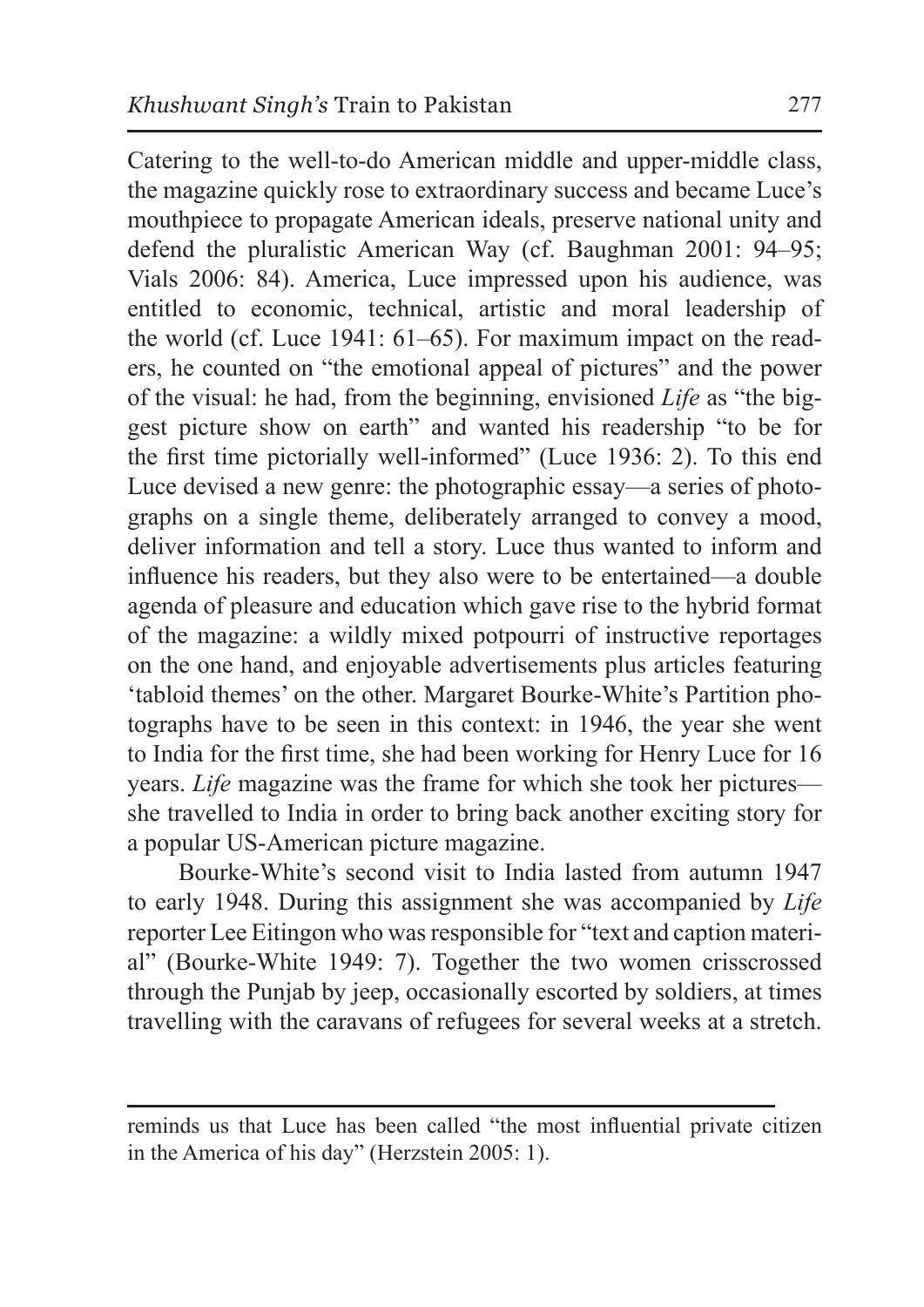Catering to the well-to-do American middle and upper-middle class, the magazine quickly rose to extraordinary success and became Luce's mouthpiece to propagate American ideals, preserve national unity and defend the pluralistic American Way (cf. Baughman 2001: 94–95; Vials 2006: 84). America, Luce impressed upon his audience, was entitled to economic, technical, artistic and moral leadership of the world (cf. Luce 1941: 61–65). For maximum impact on the readers, he counted on "the emotional appeal of pictures" and the power of the visual: he had, from the beginning, envisioned *Life* as "the biggest picture show on earth" and wanted his readership "to be for the first time pictorially well-informed" (Luce 1936: 2). To this end Luce devised a new genre: the photographic essay—a series of photographs on a single theme, deliberately arranged to convey a mood, deliver information and tell a story. Luce thus wanted to inform and influence his readers, but they also were to be entertained—a double agenda of pleasure and education which gave rise to the hybrid format of the magazine: a wildly mixed potpourri of instructive reportages on the one hand, and enjoyable advertisements plus articles featuring 'tabloid themes' on the other. Margaret Bourke-White's Partition photographs have to be seen in this context: in 1946, the year she went to India for the first time, she had been working for Henry Luce for 16 years. *Life* magazine was the frame for which she took her pictures she travelled to India in order to bring back another exciting story for a popular US-American picture magazine.

Bourke-White's second visit to India lasted from autumn 1947 to early 1948. During this assignment she was accompanied by *Life* reporter Lee Eitingon who was responsible for "text and caption material" (Bourke-White 1949: 7). Together the two women crisscrossed through the Punjab by jeep, occasionally escorted by soldiers, at times travelling with the caravans of refugees for several weeks at a stretch.

reminds us that Luce has been called "the most influential private citizen in the America of his day" (Herzstein 2005: 1).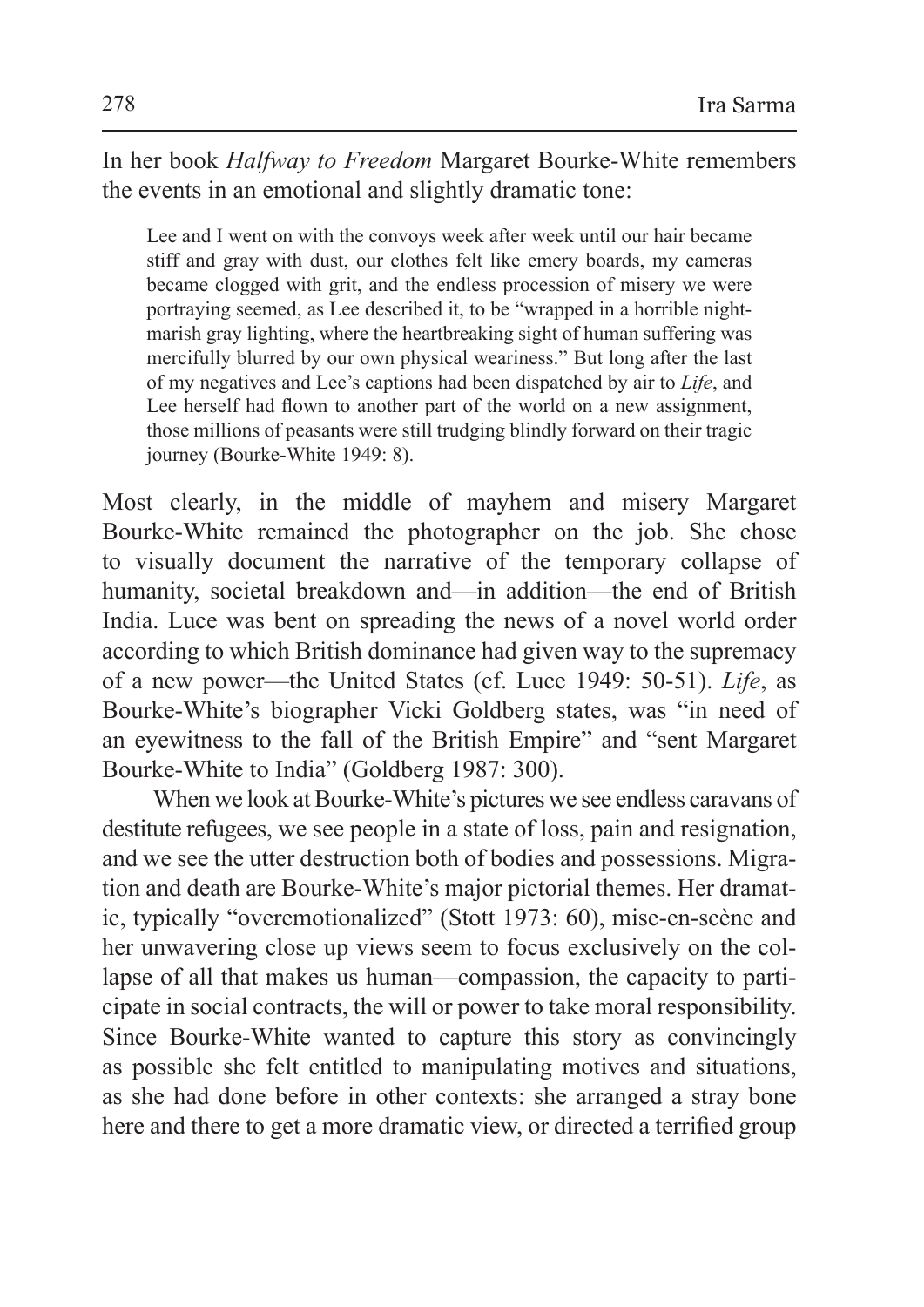In her book *Halfway to Freedom* Margaret Bourke-White remembers the events in an emotional and slightly dramatic tone:

Lee and I went on with the convoys week after week until our hair became stiff and gray with dust, our clothes felt like emery boards, my cameras became clogged with grit, and the endless procession of misery we were portraying seemed, as Lee described it, to be "wrapped in a horrible nightmarish gray lighting, where the heartbreaking sight of human suffering was mercifully blurred by our own physical weariness." But long after the last of my negatives and Lee's captions had been dispatched by air to *Life*, and Lee herself had flown to another part of the world on a new assignment, those millions of peasants were still trudging blindly forward on their tragic journey (Bourke-White 1949: 8).

Most clearly, in the middle of mayhem and misery Margaret Bourke-White remained the photographer on the job. She chose to visually document the narrative of the temporary collapse of humanity, societal breakdown and—in addition—the end of British India. Luce was bent on spreading the news of a novel world order according to which British dominance had given way to the supremacy of a new power—the United States (cf. Luce 1949: 50-51). *Life*, as Bourke-White's biographer Vicki Goldberg states, was "in need of an eyewitness to the fall of the British Empire" and "sent Margaret Bourke-White to India" (Goldberg 1987: 300).

When we look at Bourke-White's pictures we see endless caravans of destitute refugees, we see people in a state of loss, pain and resignation, and we see the utter destruction both of bodies and possessions. Migration and death are Bourke-White's major pictorial themes. Her dramatic, typically "overemotionalized" (Stott 1973: 60), mise-en-scène and her unwavering close up views seem to focus exclusively on the collapse of all that makes us human—compassion, the capacity to participate in social contracts, the will or power to take moral responsibility. Since Bourke-White wanted to capture this story as convincingly as possible she felt entitled to manipulating motives and situations, as she had done before in other contexts: she arranged a stray bone here and there to get a more dramatic view, or directed a terrified group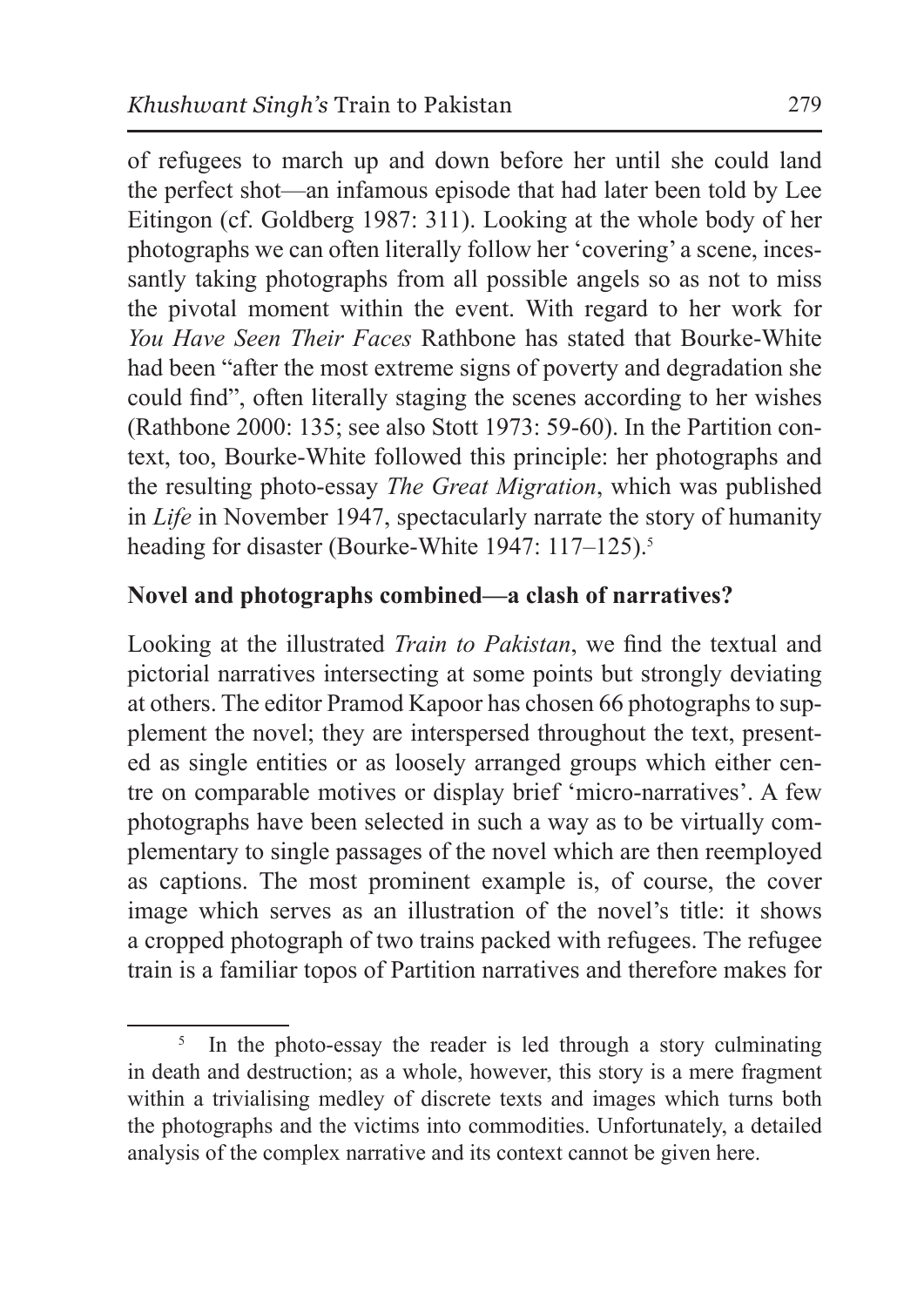of refugees to march up and down before her until she could land the perfect shot—an infamous episode that had later been told by Lee Eitingon (cf. Goldberg 1987: 311). Looking at the whole body of her photographs we can often literally follow her 'covering' a scene, incessantly taking photographs from all possible angels so as not to miss the pivotal moment within the event. With regard to her work for *You Have Seen Their Faces* Rathbone has stated that Bourke-White had been "after the most extreme signs of poverty and degradation she could find", often literally staging the scenes according to her wishes (Rathbone 2000: 135; see also Stott 1973: 59-60). In the Partition context, too, Bourke-White followed this principle: her photographs and the resulting photo-essay *The Great Migration*, which was published in *Life* in November 1947, spectacularly narrate the story of humanity heading for disaster (Bourke-White 1947: 117–125).<sup>5</sup>

# **Novel and photographs combined—a clash of narratives?**

Looking at the illustrated *Train to Pakistan*, we find the textual and pictorial narratives intersecting at some points but strongly deviating at others. The editor Pramod Kapoor has chosen 66 photographs to supplement the novel; they are interspersed throughout the text, presented as single entities or as loosely arranged groups which either centre on comparable motives or display brief 'micro-narratives'. A few photographs have been selected in such a way as to be virtually complementary to single passages of the novel which are then reemployed as captions. The most prominent example is, of course, the cover image which serves as an illustration of the novel's title: it shows a cropped photograph of two trains packed with refugees. The refugee train is a familiar topos of Partition narratives and therefore makes for

<sup>&</sup>lt;sup>5</sup> In the photo-essay the reader is led through a story culminating in death and destruction; as a whole, however, this story is a mere fragment within a trivialising medley of discrete texts and images which turns both the photographs and the victims into commodities. Unfortunately, a detailed analysis of the complex narrative and its context cannot be given here.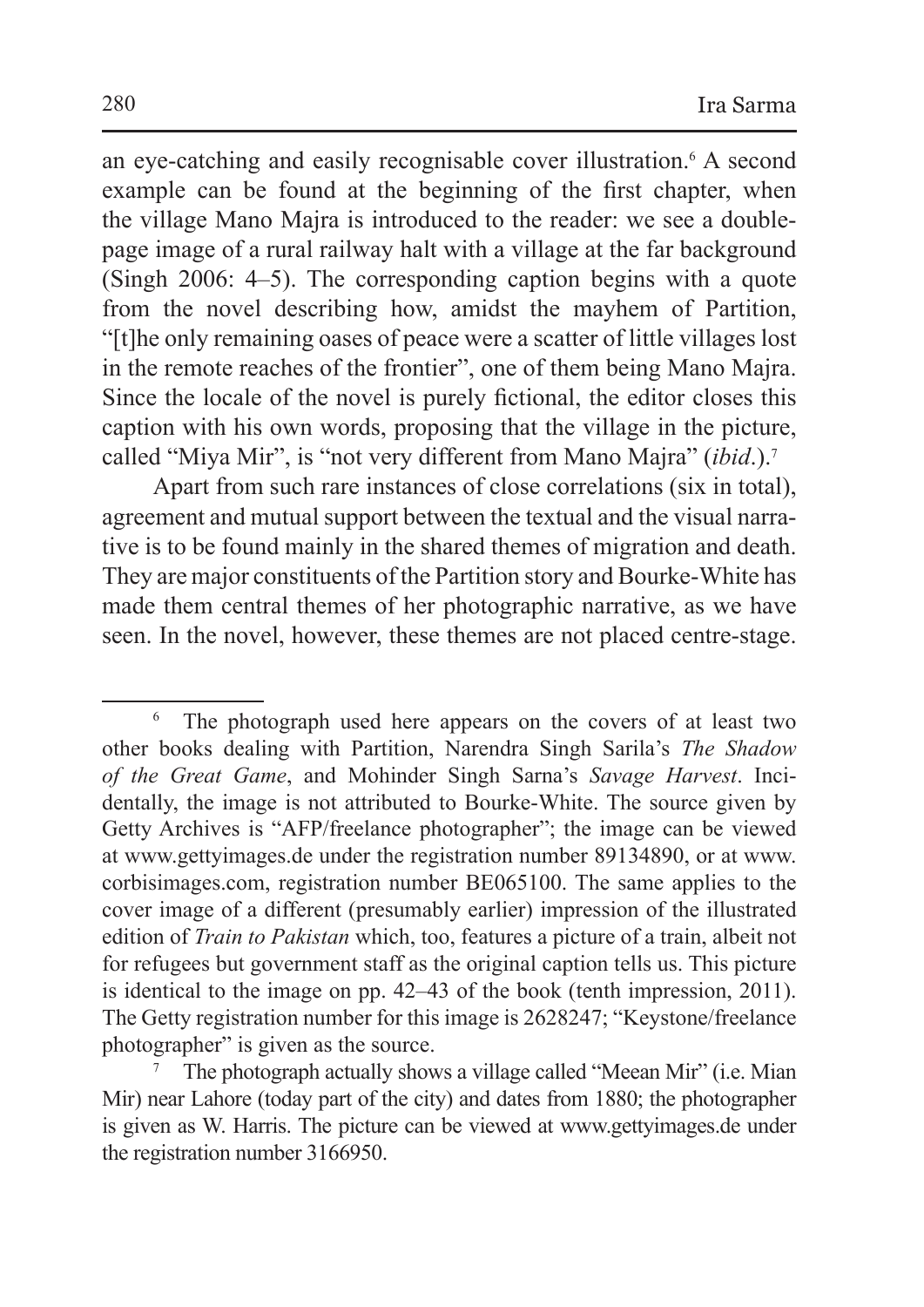an eye-catching and easily recognisable cover illustration.<sup>6</sup> A second example can be found at the beginning of the first chapter, when the village Mano Majra is introduced to the reader: we see a doublepage image of a rural railway halt with a village at the far background (Singh 2006: 4–5). The corresponding caption begins with a quote from the novel describing how, amidst the mayhem of Partition, "[t]he only remaining oases of peace were a scatter of little villages lost in the remote reaches of the frontier", one of them being Mano Majra. Since the locale of the novel is purely fictional, the editor closes this caption with his own words, proposing that the village in the picture, called "Miya Mir", is "not very different from Mano Majra" (*ibid*.).7

Apart from such rare instances of close correlations (six in total), agreement and mutual support between the textual and the visual narrative is to be found mainly in the shared themes of migration and death. They are major constituents of the Partition story and Bourke-White has made them central themes of her photographic narrative, as we have seen. In the novel, however, these themes are not placed centre-stage.

<sup>6</sup> The photograph used here appears on the covers of at least two other books dealing with Partition, Narendra Singh Sarila's *The Shadow of the Great Game*, and Mohinder Singh Sarna's *Savage Harvest*. Incidentally, the image is not attributed to Bourke-White. The source given by Getty Archives is "AFP/freelance photographer"; the image can be viewed at www.gettyimages.de under the registration number 89134890, or at www. corbisimages.com, registration number BE065100. The same applies to the cover image of a different (presumably earlier) impression of the illustrated edition of *Train to Pakistan* which, too, features a picture of a train, albeit not for refugees but government staff as the original caption tells us. This picture is identical to the image on pp. 42–43 of the book (tenth impression, 2011). The Getty registration number for this image is 2628247; "Keystone/freelance photographer" is given as the source.<br><sup>7</sup> The photograph actually shows a village called "Meean Mir" (i.e. Mian

Mir) near Lahore (today part of the city) and dates from 1880; the photographer is given as W. Harris. The picture can be viewed at www.gettyimages.de under the registration number 3166950.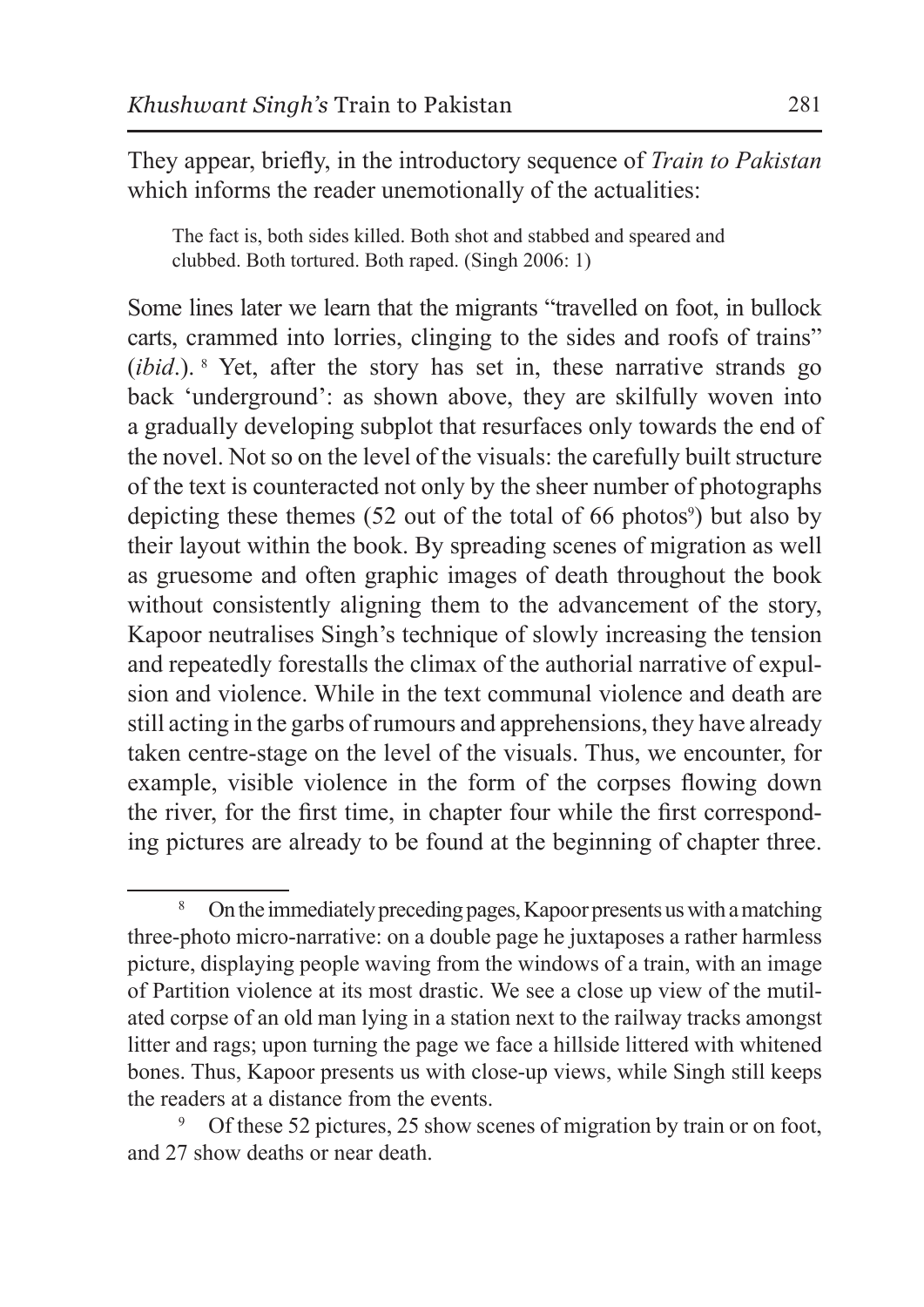They appear, briefly, in the introductory sequence of *Train to Pakistan* which informs the reader unemotionally of the actualities:

The fact is, both sides killed. Both shot and stabbed and speared and clubbed. Both tortured. Both raped. (Singh 2006: 1)

Some lines later we learn that the migrants "travelled on foot, in bullock carts, crammed into lorries, clinging to the sides and roofs of trains" (*ibid*.). 8 Yet, after the story has set in, these narrative strands go back 'underground': as shown above, they are skilfully woven into a gradually developing subplot that resurfaces only towards the end of the novel. Not so on the level of the visuals: the carefully built structure of the text is counteracted not only by the sheer number of photographs depicting these themes  $(52 \text{ out of the total of } 66 \text{ photos})$  but also by their layout within the book. By spreading scenes of migration as well as gruesome and often graphic images of death throughout the book without consistently aligning them to the advancement of the story, Kapoor neutralises Singh's technique of slowly increasing the tension and repeatedly forestalls the climax of the authorial narrative of expulsion and violence. While in the text communal violence and death are still acting in the garbs of rumours and apprehensions, they have already taken centre-stage on the level of the visuals. Thus, we encounter, for example, visible violence in the form of the corpses flowing down the river, for the first time, in chapter four while the first corresponding pictures are already to be found at the beginning of chapter three.

<sup>8</sup> On the immediately preceding pages, Kapoor presents us with a matching three-photo micro-narrative: on a double page he juxtaposes a rather harmless picture, displaying people waving from the windows of a train, with an image of Partition violence at its most drastic. We see a close up view of the mutilated corpse of an old man lying in a station next to the railway tracks amongst litter and rags; upon turning the page we face a hillside littered with whitened bones. Thus, Kapoor presents us with close-up views, while Singh still keeps the readers at a distance from the events.

Of these 52 pictures, 25 show scenes of migration by train or on foot, and 27 show deaths or near death.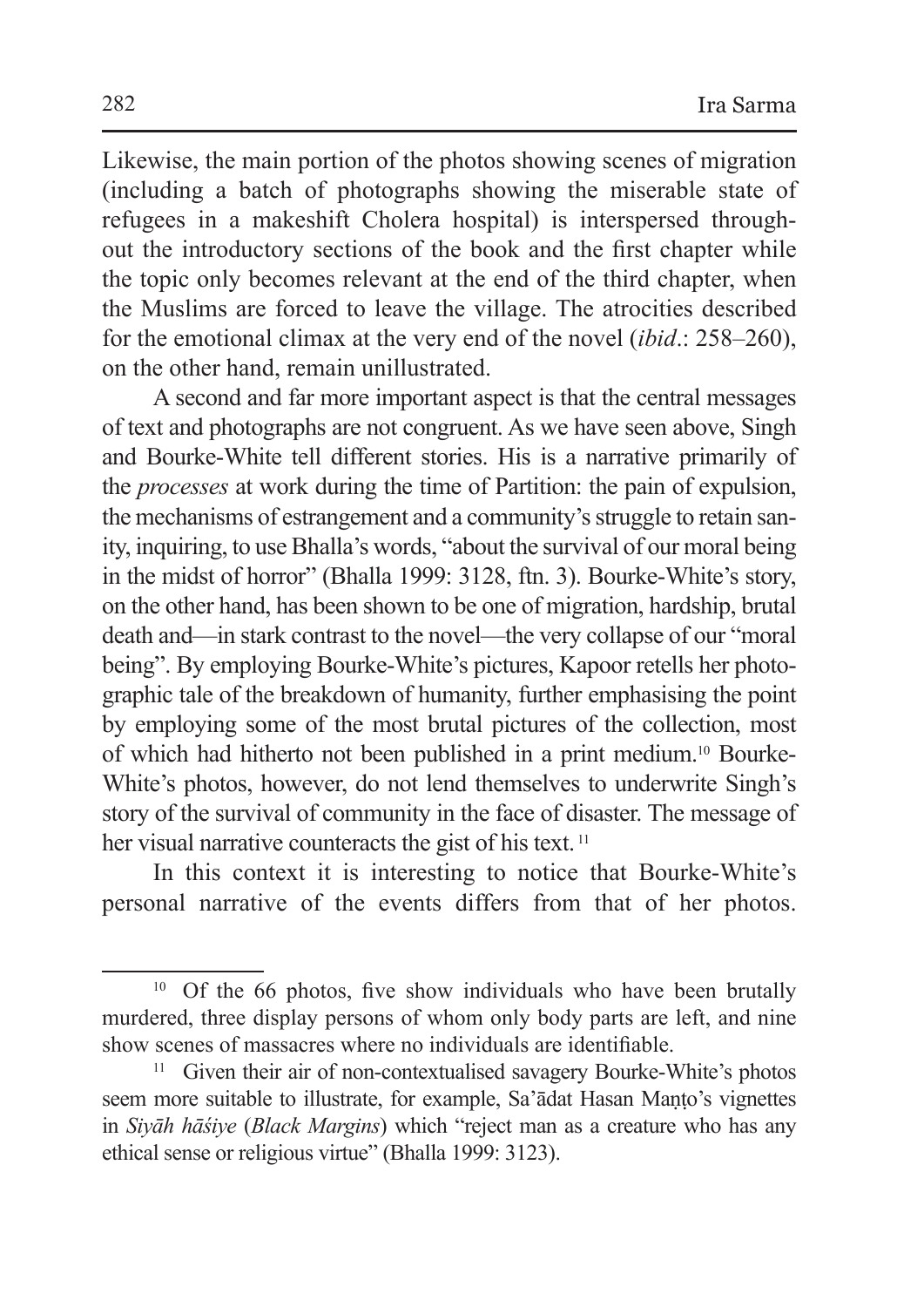Likewise, the main portion of the photos showing scenes of migration (including a batch of photographs showing the miserable state of refugees in a makeshift Cholera hospital) is interspersed throughout the introductory sections of the book and the first chapter while the topic only becomes relevant at the end of the third chapter, when the Muslims are forced to leave the village. The atrocities described for the emotional climax at the very end of the novel (*ibid*.: 258–260), on the other hand, remain unillustrated.

A second and far more important aspect is that the central messages of text and photographs are not congruent. As we have seen above, Singh and Bourke-White tell different stories. His is a narrative primarily of the *processes* at work during the time of Partition: the pain of expulsion, the mechanisms of estrangement and a community's struggle to retain sanity, inquiring, to use Bhalla's words, "about the survival of our moral being in the midst of horror" (Bhalla 1999: 3128, ftn. 3). Bourke-White's story, on the other hand, has been shown to be one of migration, hardship, brutal death and—in stark contrast to the novel—the very collapse of our "moral being". By employing Bourke-White's pictures, Kapoor retells her photographic tale of the breakdown of humanity, further emphasising the point by employing some of the most brutal pictures of the collection, most of which had hitherto not been published in a print medium.10 Bourke-White's photos, however, do not lend themselves to underwrite Singh's story of the survival of community in the face of disaster. The message of her visual narrative counteracts the gist of his text.<sup>11</sup>

In this context it is interesting to notice that Bourke-White's personal narrative of the events differs from that of her photos.

 $10$  Of the 66 photos, five show individuals who have been brutally murdered, three display persons of whom only body parts are left, and nine show scenes of massacres where no individuals are identifiable.

<sup>&</sup>lt;sup>11</sup> Given their air of non-contextualised savagery Bourke-White's photos seem more suitable to illustrate, for example, Sa'ādat Hasan Manto's vignettes in *Siyāh hāśiye* (*Black Margins*) which "reject man as a creature who has any ethical sense or religious virtue" (Bhalla 1999: 3123).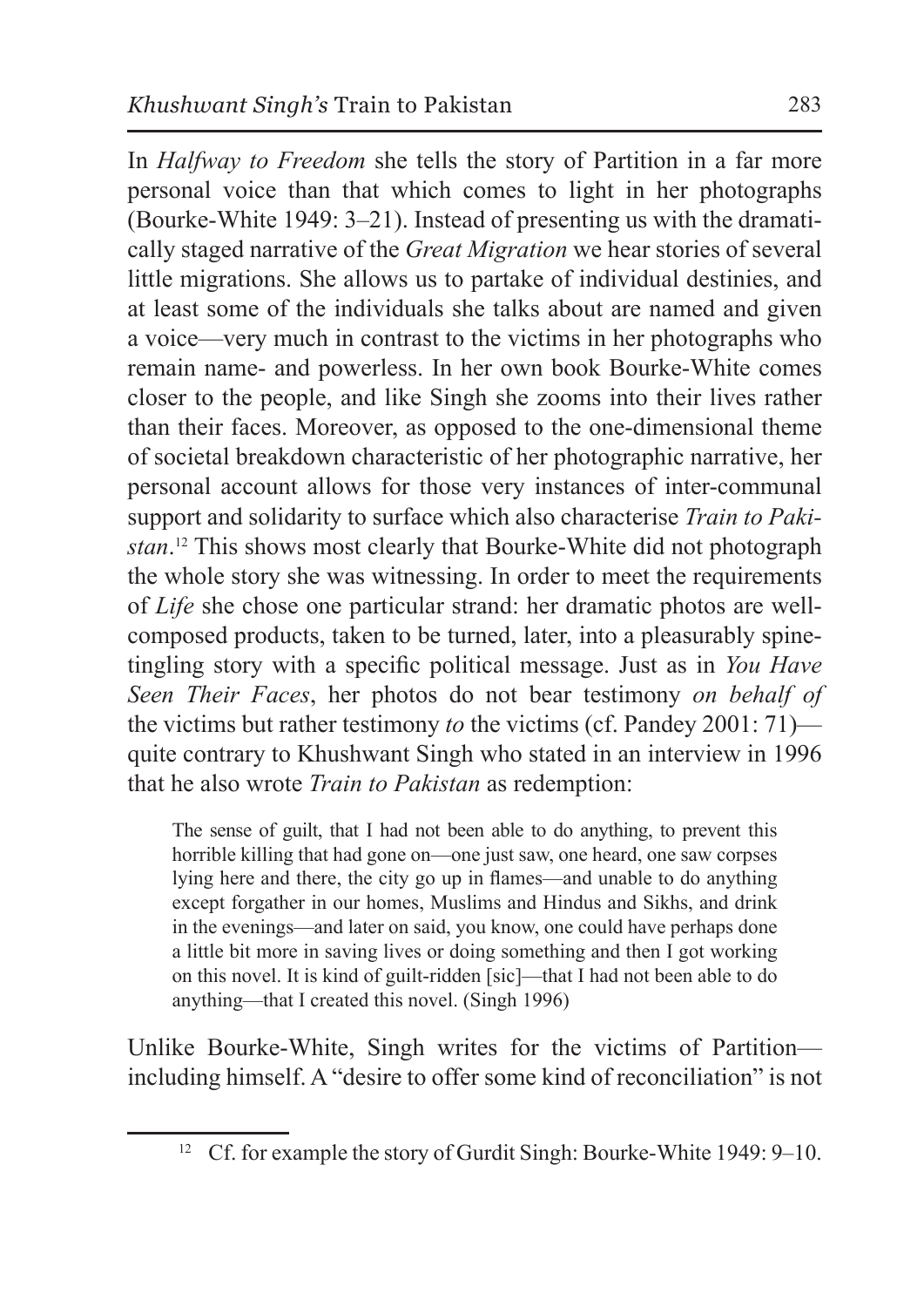In *Halfway to Freedom* she tells the story of Partition in a far more personal voice than that which comes to light in her photographs (Bourke-White 1949: 3–21). Instead of presenting us with the dramatically staged narrative of the *Great Migration* we hear stories of several little migrations. She allows us to partake of individual destinies, and at least some of the individuals she talks about are named and given a voice—very much in contrast to the victims in her photographs who remain name- and powerless. In her own book Bourke-White comes closer to the people, and like Singh she zooms into their lives rather than their faces. Moreover, as opposed to the one-dimensional theme of societal breakdown characteristic of her photographic narrative, her personal account allows for those very instances of inter-communal support and solidarity to surface which also characterise *Train to Pakistan*. 12 This shows most clearly that Bourke-White did not photograph the whole story she was witnessing. In order to meet the requirements of *Life* she chose one particular strand: her dramatic photos are wellcomposed products, taken to be turned, later, into a pleasurably spinetingling story with a specific political message. Just as in *You Have Seen Their Faces*, her photos do not bear testimony *on behalf of* the victims but rather testimony *to* the victims (cf. Pandey 2001: 71) quite contrary to Khushwant Singh who stated in an interview in 1996 that he also wrote *Train to Pakistan* as redemption:

The sense of guilt, that I had not been able to do anything, to prevent this horrible killing that had gone on—one just saw, one heard, one saw corpses lying here and there, the city go up in flames—and unable to do anything except forgather in our homes, Muslims and Hindus and Sikhs, and drink in the evenings—and later on said, you know, one could have perhaps done a little bit more in saving lives or doing something and then I got working on this novel. It is kind of guilt-ridden [sic]—that I had not been able to do anything—that I created this novel. (Singh 1996)

Unlike Bourke-White, Singh writes for the victims of Partition including himself. A "desire to offer some kind of reconciliation" is not

<sup>&</sup>lt;sup>12</sup> Cf. for example the story of Gurdit Singh: Bourke-White 1949: 9–10.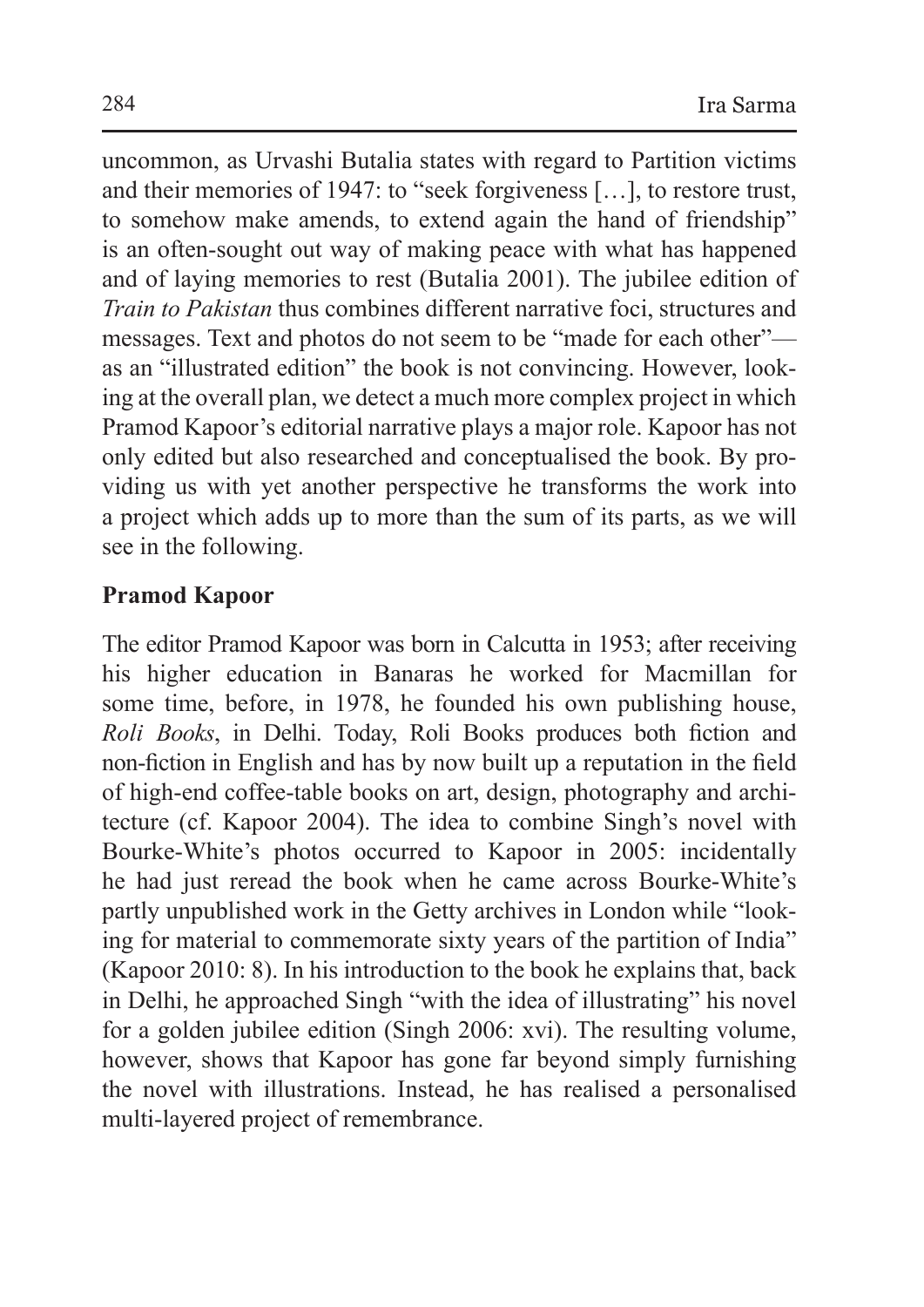uncommon, as Urvashi Butalia states with regard to Partition victims and their memories of 1947: to "seek forgiveness […], to restore trust, to somehow make amends, to extend again the hand of friendship" is an often-sought out way of making peace with what has happened and of laying memories to rest (Butalia 2001). The jubilee edition of *Train to Pakistan* thus combines different narrative foci, structures and messages. Text and photos do not seem to be "made for each other" as an "illustrated edition" the book is not convincing. However, looking at the overall plan, we detect a much more complex project in which Pramod Kapoor's editorial narrative plays a major role. Kapoor has not only edited but also researched and conceptualised the book. By providing us with yet another perspective he transforms the work into a project which adds up to more than the sum of its parts, as we will see in the following.

### **Pramod Kapoor**

The editor Pramod Kapoor was born in Calcutta in 1953; after receiving his higher education in Banaras he worked for Macmillan for some time, before, in 1978, he founded his own publishing house, *Roli Books*, in Delhi. Today, Roli Books produces both fiction and non-fiction in English and has by now built up a reputation in the field of high-end coffee-table books on art, design, photography and architecture (cf. Kapoor 2004). The idea to combine Singh's novel with Bourke-White's photos occurred to Kapoor in 2005: incidentally he had just reread the book when he came across Bourke-White's partly unpublished work in the Getty archives in London while "looking for material to commemorate sixty years of the partition of India" (Kapoor 2010: 8). In his introduction to the book he explains that, back in Delhi, he approached Singh "with the idea of illustrating" his novel for a golden jubilee edition (Singh 2006: xvi). The resulting volume, however, shows that Kapoor has gone far beyond simply furnishing the novel with illustrations. Instead, he has realised a personalised multi-layered project of remembrance.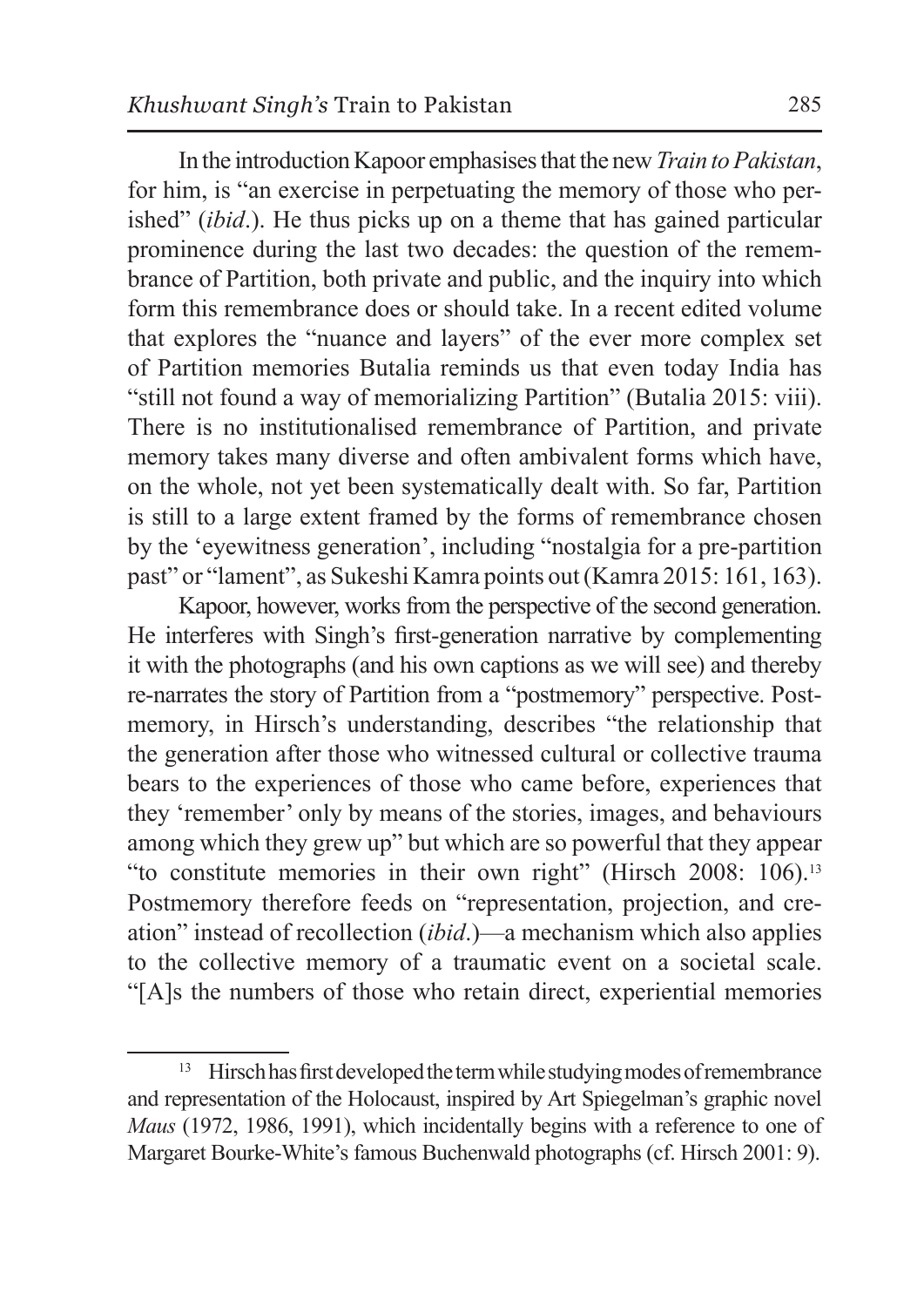In the introduction Kapoor emphasises that the new *Train to Pakistan*, for him, is "an exercise in perpetuating the memory of those who perished" (*ibid*.). He thus picks up on a theme that has gained particular prominence during the last two decades: the question of the remembrance of Partition, both private and public, and the inquiry into which form this remembrance does or should take. In a recent edited volume that explores the "nuance and layers" of the ever more complex set of Partition memories Butalia reminds us that even today India has "still not found a way of memorializing Partition" (Butalia 2015: viii). There is no institutionalised remembrance of Partition, and private memory takes many diverse and often ambivalent forms which have, on the whole, not yet been systematically dealt with. So far, Partition is still to a large extent framed by the forms of remembrance chosen by the 'eyewitness generation', including "nostalgia for a pre-partition past" or "lament", as Sukeshi Kamra points out (Kamra 2015: 161, 163).

Kapoor, however, works from the perspective of the second generation. He interferes with Singh's first-generation narrative by complementing it with the photographs (and his own captions as we will see) and thereby re-narrates the story of Partition from a "postmemory" perspective. Postmemory, in Hirsch's understanding, describes "the relationship that the generation after those who witnessed cultural or collective trauma bears to the experiences of those who came before, experiences that they 'remember' only by means of the stories, images, and behaviours among which they grew up" but which are so powerful that they appear "to constitute memories in their own right" (Hirsch 2008: 106).13 Postmemory therefore feeds on "representation, projection, and creation" instead of recollection (*ibid*.)—a mechanism which also applies to the collective memory of a traumatic event on a societal scale. "[A]s the numbers of those who retain direct, experiential memories

<sup>&</sup>lt;sup>13</sup> Hirsch has first developed the term while studying modes of remembrance and representation of the Holocaust, inspired by Art Spiegelman's graphic novel *Maus* (1972, 1986, 1991), which incidentally begins with a reference to one of Margaret Bourke-White's famous Buchenwald photographs (cf. Hirsch 2001: 9).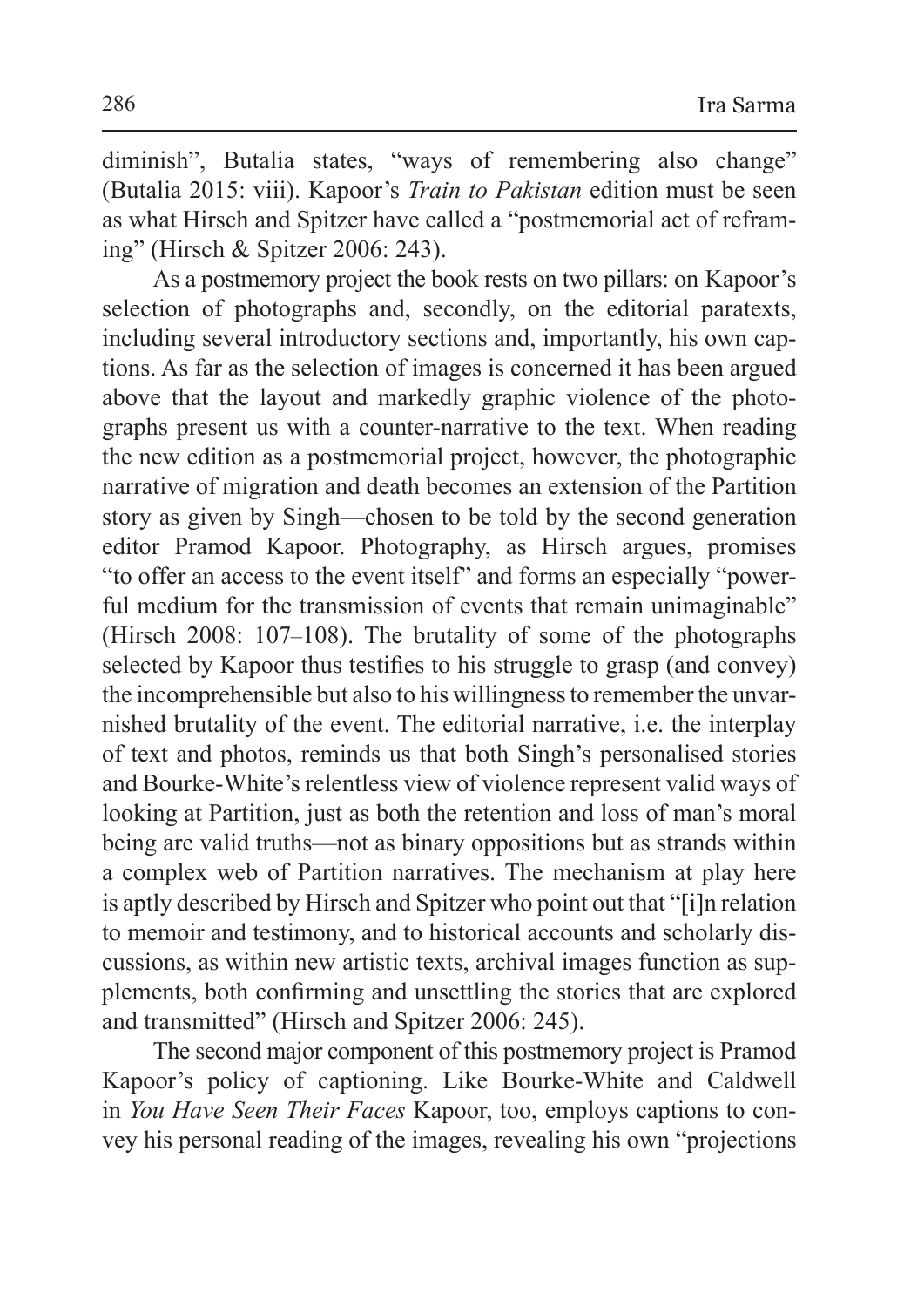diminish", Butalia states, "ways of remembering also change" (Butalia 2015: viii). Kapoor's *Train to Pakistan* edition must be seen as what Hirsch and Spitzer have called a "postmemorial act of reframing" (Hirsch & Spitzer 2006: 243).

As a postmemory project the book rests on two pillars: on Kapoor's selection of photographs and, secondly, on the editorial paratexts, including several introductory sections and, importantly, his own captions. As far as the selection of images is concerned it has been argued above that the layout and markedly graphic violence of the photographs present us with a counter-narrative to the text. When reading the new edition as a postmemorial project, however, the photographic narrative of migration and death becomes an extension of the Partition story as given by Singh—chosen to be told by the second generation editor Pramod Kapoor. Photography, as Hirsch argues, promises "to offer an access to the event itself" and forms an especially "powerful medium for the transmission of events that remain unimaginable" (Hirsch 2008: 107–108). The brutality of some of the photographs selected by Kapoor thus testifies to his struggle to grasp (and convey) the incomprehensible but also to his willingness to remember the unvarnished brutality of the event. The editorial narrative, i.e. the interplay of text and photos, reminds us that both Singh's personalised stories and Bourke-White's relentless view of violence represent valid ways of looking at Partition, just as both the retention and loss of man's moral being are valid truths—not as binary oppositions but as strands within a complex web of Partition narratives. The mechanism at play here is aptly described by Hirsch and Spitzer who point out that "[i]n relation to memoir and testimony, and to historical accounts and scholarly discussions, as within new artistic texts, archival images function as supplements, both confirming and unsettling the stories that are explored and transmitted" (Hirsch and Spitzer 2006: 245).

The second major component of this postmemory project is Pramod Kapoor's policy of captioning. Like Bourke-White and Caldwell in *You Have Seen Their Faces* Kapoor, too, employs captions to convey his personal reading of the images, revealing his own "projections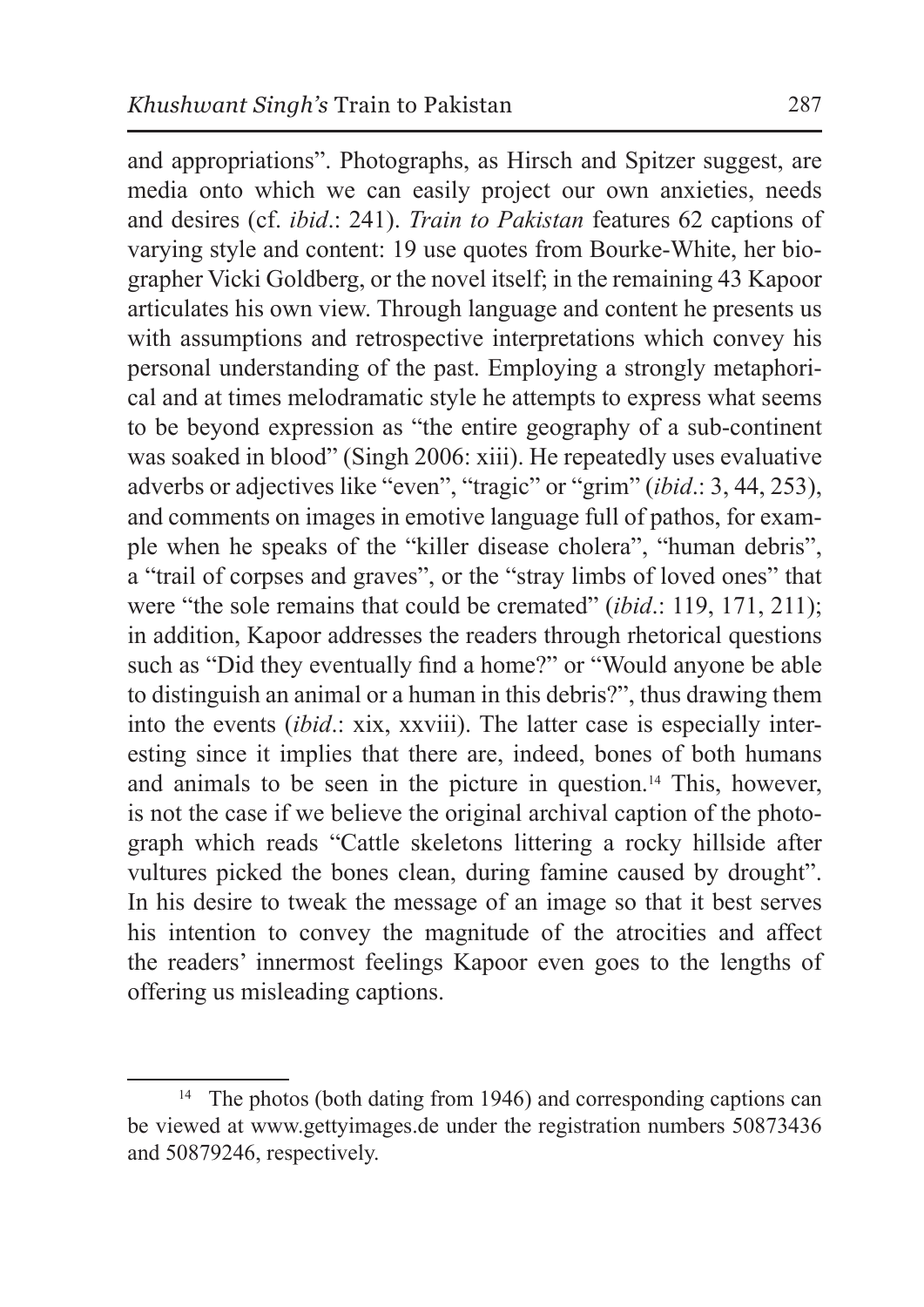and appropriations". Photographs, as Hirsch and Spitzer suggest, are media onto which we can easily project our own anxieties, needs and desires (cf. *ibid*.: 241). *Train to Pakistan* features 62 captions of varying style and content: 19 use quotes from Bourke-White, her biographer Vicki Goldberg, or the novel itself; in the remaining 43 Kapoor articulates his own view. Through language and content he presents us with assumptions and retrospective interpretations which convey his personal understanding of the past. Employing a strongly metaphorical and at times melodramatic style he attempts to express what seems to be beyond expression as "the entire geography of a sub-continent was soaked in blood" (Singh 2006: xiii). He repeatedly uses evaluative adverbs or adjectives like "even", "tragic" or "grim" (*ibid*.: 3, 44, 253), and comments on images in emotive language full of pathos, for example when he speaks of the "killer disease cholera", "human debris", a "trail of corpses and graves", or the "stray limbs of loved ones" that were "the sole remains that could be cremated" (*ibid*.: 119, 171, 211); in addition, Kapoor addresses the readers through rhetorical questions such as "Did they eventually find a home?" or "Would anyone be able to distinguish an animal or a human in this debris?", thus drawing them into the events (*ibid*.: xix, xxviii). The latter case is especially interesting since it implies that there are, indeed, bones of both humans and animals to be seen in the picture in question.14 This, however, is not the case if we believe the original archival caption of the photograph which reads "Cattle skeletons littering a rocky hillside after vultures picked the bones clean, during famine caused by drought". In his desire to tweak the message of an image so that it best serves

his intention to convey the magnitude of the atrocities and affect the readers' innermost feelings Kapoor even goes to the lengths of offering us misleading captions.

<sup>&</sup>lt;sup>14</sup> The photos (both dating from 1946) and corresponding captions can be viewed at www.gettyimages.de under the registration numbers 50873436 and 50879246, respectively.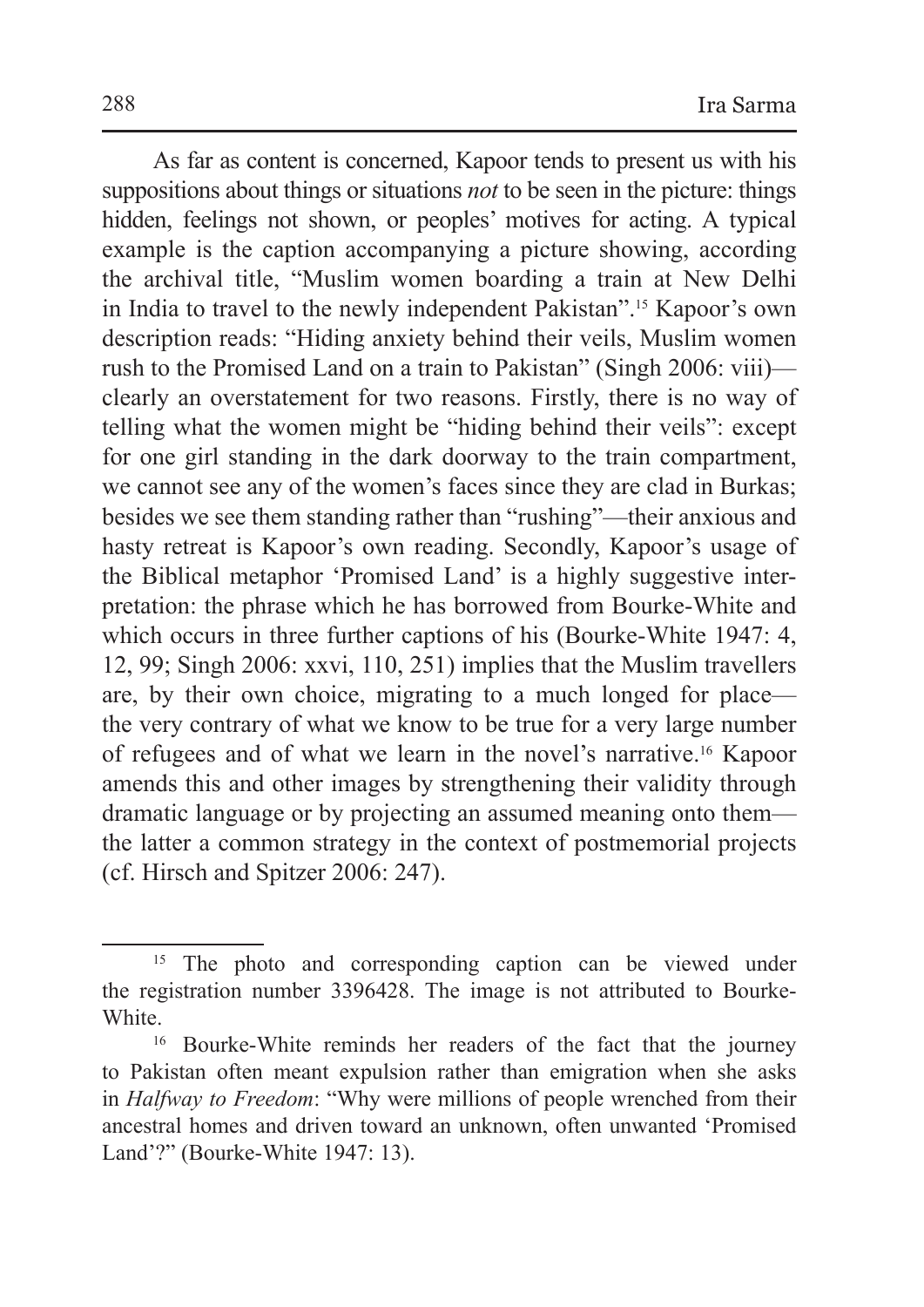As far as content is concerned, Kapoor tends to present us with his suppositions about things or situations *not* to be seen in the picture: things hidden, feelings not shown, or peoples' motives for acting. A typical example is the caption accompanying a picture showing, according the archival title, "Muslim women boarding a train at New Delhi in India to travel to the newly independent Pakistan".15 Kapoor's own description reads: "Hiding anxiety behind their veils, Muslim women rush to the Promised Land on a train to Pakistan" (Singh 2006: viii) clearly an overstatement for two reasons. Firstly, there is no way of telling what the women might be "hiding behind their veils": except for one girl standing in the dark doorway to the train compartment, we cannot see any of the women's faces since they are clad in Burkas; besides we see them standing rather than "rushing"—their anxious and hasty retreat is Kapoor's own reading. Secondly, Kapoor's usage of the Biblical metaphor 'Promised Land' is a highly suggestive interpretation: the phrase which he has borrowed from Bourke-White and which occurs in three further captions of his (Bourke-White 1947: 4, 12, 99; Singh 2006: xxvi, 110, 251) implies that the Muslim travellers are, by their own choice, migrating to a much longed for place the very contrary of what we know to be true for a very large number of refugees and of what we learn in the novel's narrative.16 Kapoor amends this and other images by strengthening their validity through dramatic language or by projecting an assumed meaning onto them the latter a common strategy in the context of postmemorial projects (cf. Hirsch and Spitzer 2006: 247).

<sup>&</sup>lt;sup>15</sup> The photo and corresponding caption can be viewed under the registration number 3396428. The image is not attributed to Bourke-White.<br><sup>16</sup> Bourke-White reminds her readers of the fact that the journey

to Pakistan often meant expulsion rather than emigration when she asks in *Halfway to Freedom*: "Why were millions of people wrenched from their ancestral homes and driven toward an unknown, often unwanted 'Promised Land'?" (Bourke-White 1947: 13).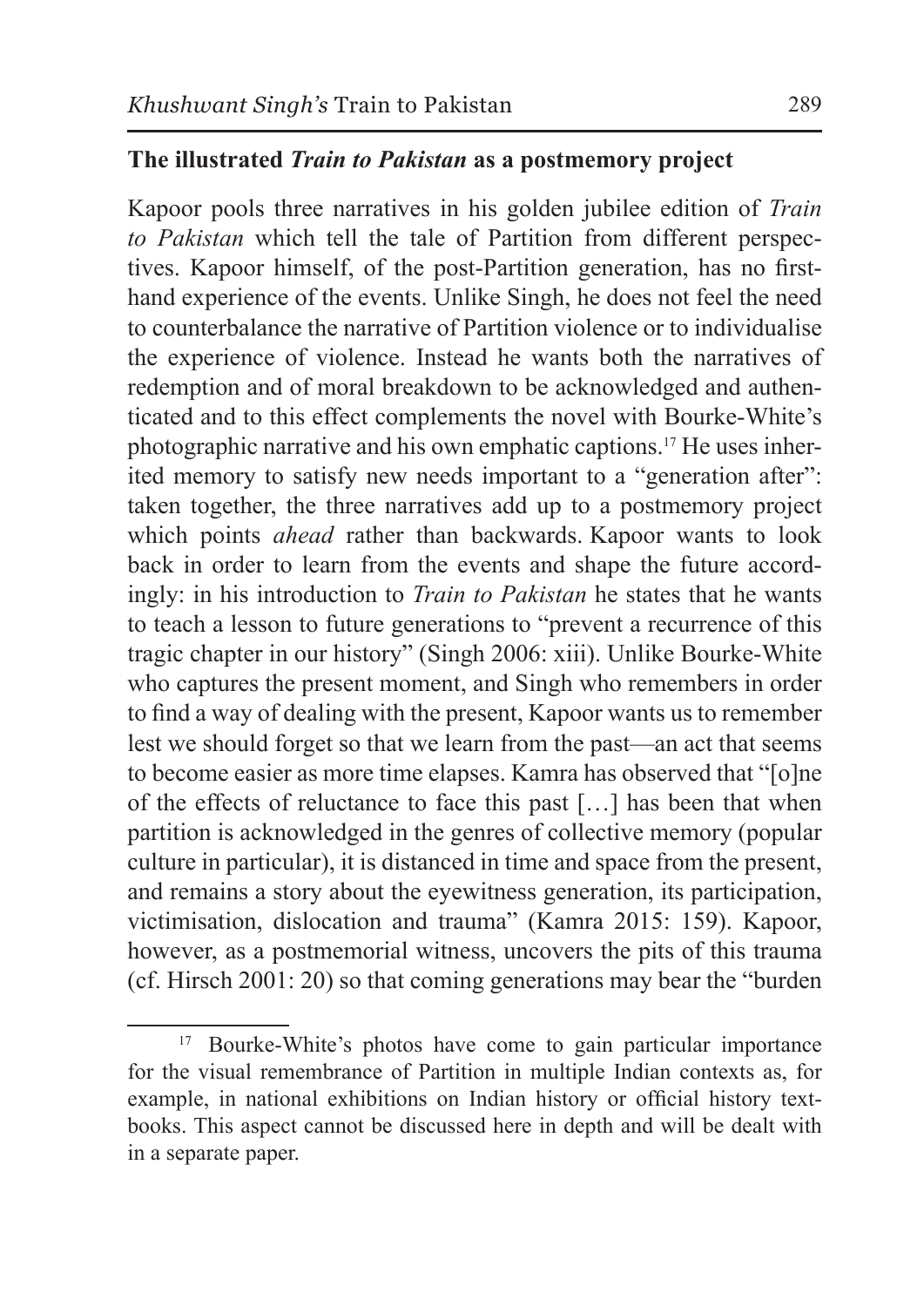#### **The illustrated** *Train to Pakistan* **as a postmemory project**

Kapoor pools three narratives in his golden jubilee edition of *Train to Pakistan* which tell the tale of Partition from different perspectives. Kapoor himself, of the post-Partition generation, has no firsthand experience of the events. Unlike Singh, he does not feel the need to counterbalance the narrative of Partition violence or to individualise the experience of violence. Instead he wants both the narratives of redemption and of moral breakdown to be acknowledged and authenticated and to this effect complements the novel with Bourke-White's photographic narrative and his own emphatic captions.17 He uses inherited memory to satisfy new needs important to a "generation after": taken together, the three narratives add up to a postmemory project which points *ahead* rather than backwards. Kapoor wants to look back in order to learn from the events and shape the future accordingly: in his introduction to *Train to Pakistan* he states that he wants to teach a lesson to future generations to "prevent a recurrence of this tragic chapter in our history" (Singh 2006: xiii). Unlike Bourke-White who captures the present moment, and Singh who remembers in order to find a way of dealing with the present, Kapoor wants us to remember lest we should forget so that we learn from the past—an act that seems to become easier as more time elapses. Kamra has observed that "[o]ne of the effects of reluctance to face this past […] has been that when partition is acknowledged in the genres of collective memory (popular culture in particular), it is distanced in time and space from the present, and remains a story about the eyewitness generation, its participation, victimisation, dislocation and trauma" (Kamra 2015: 159). Kapoor, however, as a postmemorial witness, uncovers the pits of this trauma (cf. Hirsch 2001: 20) so that coming generations may bear the "burden

<sup>&</sup>lt;sup>17</sup> Bourke-White's photos have come to gain particular importance for the visual remembrance of Partition in multiple Indian contexts as, for example, in national exhibitions on Indian history or official history textbooks. This aspect cannot be discussed here in depth and will be dealt with in a separate paper.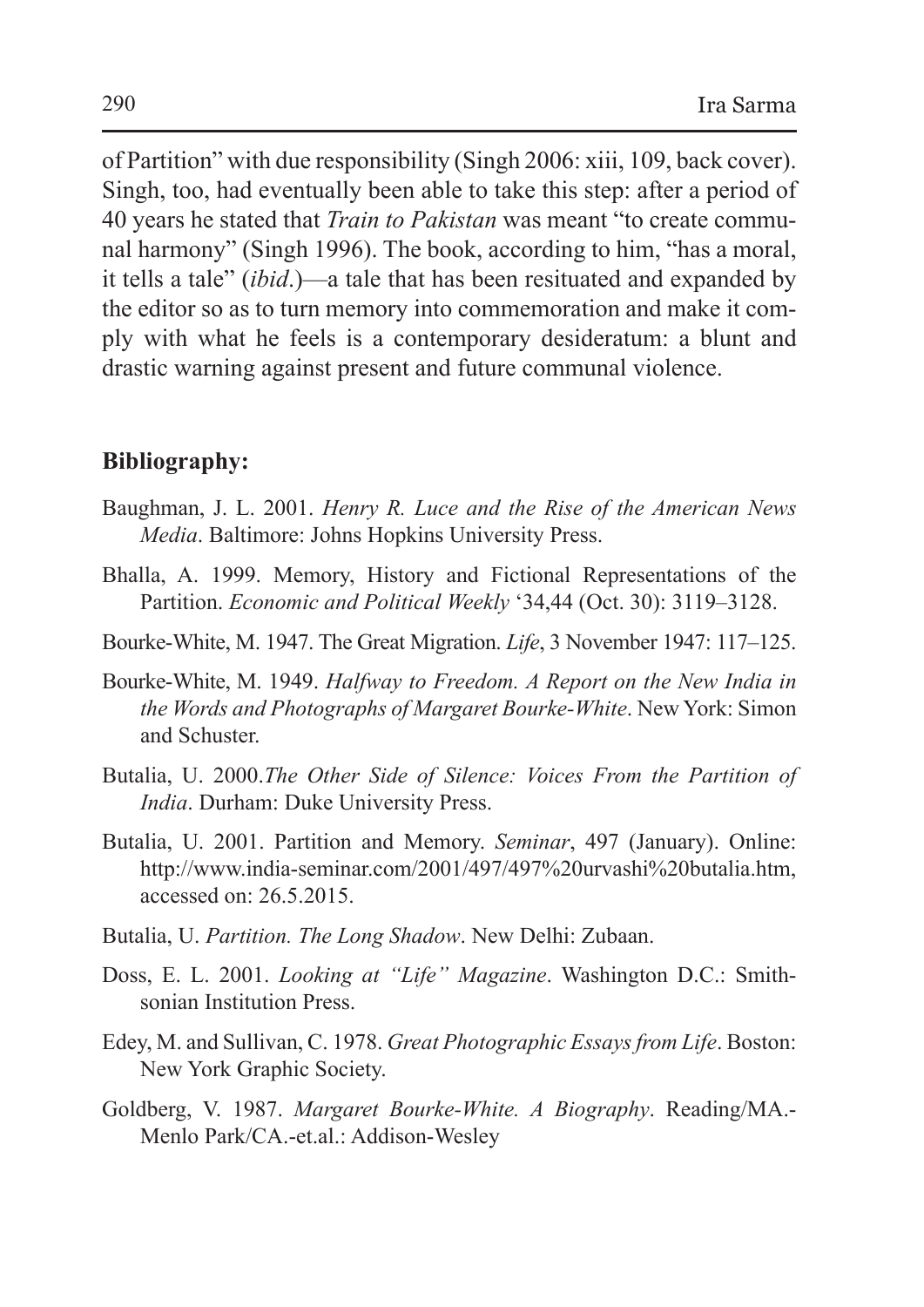of Partition" with due responsibility (Singh 2006: xiii, 109, back cover). Singh, too, had eventually been able to take this step: after a period of 40 years he stated that *Train to Pakistan* was meant "to create communal harmony" (Singh 1996). The book, according to him, "has a moral, it tells a tale" (*ibid*.)—a tale that has been resituated and expanded by the editor so as to turn memory into commemoration and make it comply with what he feels is a contemporary desideratum: a blunt and drastic warning against present and future communal violence.

#### **Bibliography:**

- Baughman, J. L. 2001. *Henry R. Luce and the Rise of the American News Media*. Baltimore: Johns Hopkins University Press.
- Bhalla, A. 1999. Memory, History and Fictional Representations of the Partition. *Economic and Political Weekly* '34,44 (Oct. 30): 3119–3128.
- Bourke-White, M. 1947. The Great Migration. *Life*, 3 November 1947: 117–125.
- Bourke-White, M. 1949. *Halfway to Freedom. A Report on the New India in the Words and Photographs of Margaret Bourke-White*. New York: Simon and Schuster.
- Butalia, U. 2000.*The Other Side of Silence: Voices From the Partition of India*. Durham: Duke University Press.
- Butalia, U. 2001. Partition and Memory. *Seminar*, 497 (January). Online: http://www.india-seminar.com/2001/497/497%20urvashi%20butalia.htm, accessed on: 26.5.2015.
- Butalia, U. *Partition. The Long Shadow*. New Delhi: Zubaan.
- Doss, E. L. 2001. *Looking at "Life" Magazine*. Washington D.C.: Smithsonian Institution Press.
- Edey, M. and Sullivan, C. 1978. *Great Photographic Essays from Life*. Boston: New York Graphic Society.
- Goldberg, V. 1987. *Margaret Bourke-White. A Biography*. Reading/MA.- Menlo Park/CA.-et.al.: Addison-Wesley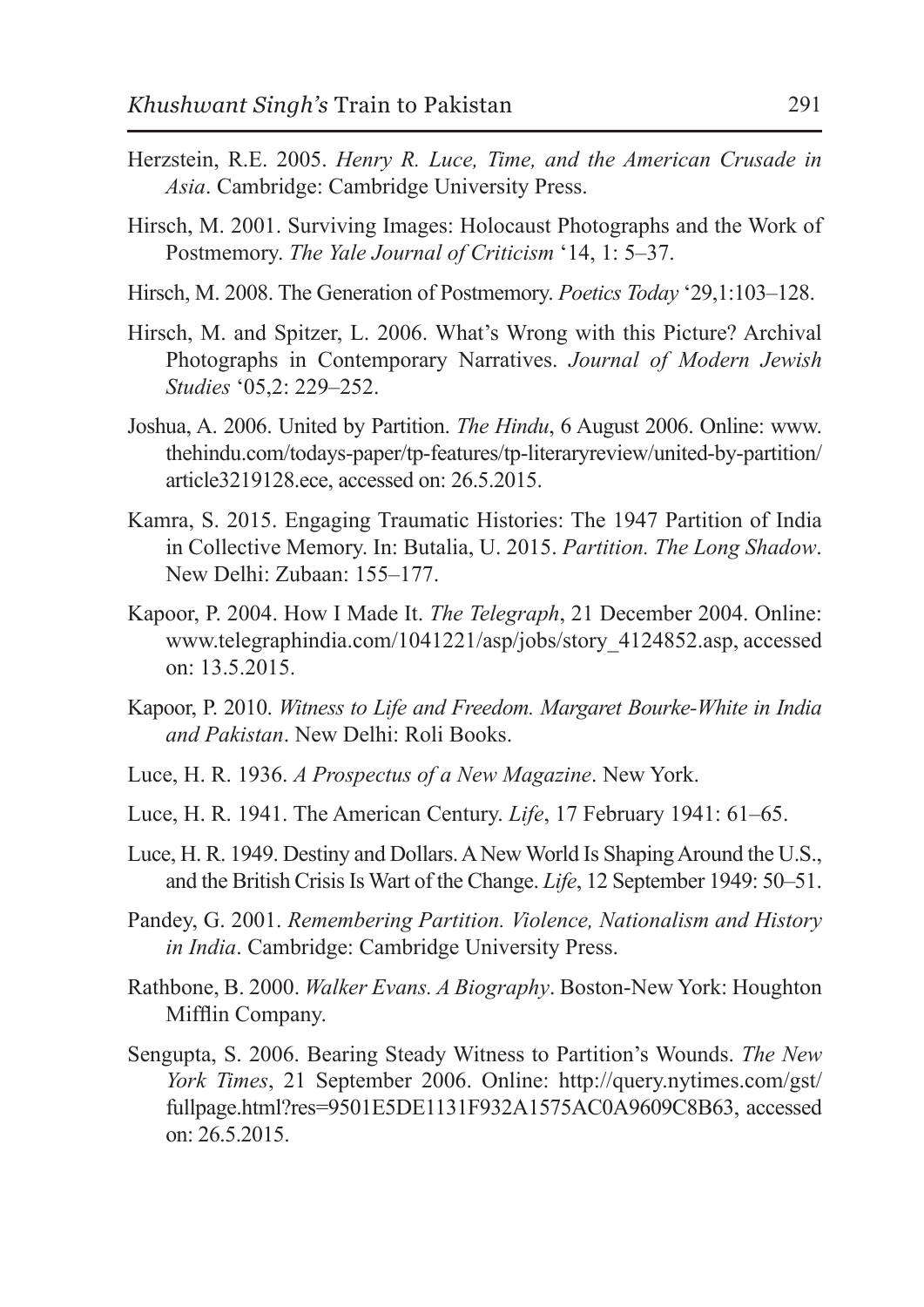- Herzstein, R.E. 2005. *Henry R. Luce, Time, and the American Crusade in Asia*. Cambridge: Cambridge University Press.
- Hirsch, M. 2001. Surviving Images: Holocaust Photographs and the Work of Postmemory. *The Yale Journal of Criticism* '14, 1: 5–37.
- Hirsch, M. 2008. The Generation of Postmemory. *Poetics Today* '29,1:103–128.
- Hirsch, M. and Spitzer, L. 2006. What's Wrong with this Picture? Archival Photographs in Contemporary Narratives. *Journal of Modern Jewish Studies* '05,2: 229–252.
- Joshua, A. 2006. United by Partition. *The Hindu*, 6 August 2006. Online: www. thehindu.com/todays-paper/tp-features/tp-literaryreview/united-by-partition/ article3219128.ece, accessed on: 26.5.2015.
- Kamra, S. 2015. Engaging Traumatic Histories: The 1947 Partition of India in Collective Memory. In: Butalia, U. 2015. *Partition. The Long Shadow*. New Delhi: Zubaan: 155–177.
- Kapoor, P. 2004. How I Made It. *The Telegraph*, 21 December 2004. Online: www.telegraphindia.com/1041221/asp/jobs/story\_4124852.asp, accessed on: 13.5.2015.
- Kapoor, P. 2010. *Witness to Life and Freedom. Margaret Bourke-White in India and Pakistan*. New Delhi: Roli Books.
- Luce, H. R. 1936. *A Prospectus of a New Magazine*. New York.
- Luce, H. R. 1941. The American Century. *Life*, 17 February 1941: 61–65.
- Luce, H. R. 1949. Destiny and Dollars. A New World Is Shaping Around the U.S., and the British Crisis Is Wart of the Change. *Life*, 12 September 1949: 50–51.
- Pandey, G. 2001. *Remembering Partition. Violence, Nationalism and History in India*. Cambridge: Cambridge University Press.
- Rathbone, B. 2000. *Walker Evans. A Biography*. Boston-New York: Houghton Mifflin Company.
- Sengupta, S. 2006. Bearing Steady Witness to Partition's Wounds. *The New York Times*, 21 September 2006. Online: http://query.nytimes.com/gst/ fullpage.html?res=9501E5DE1131F932A1575AC0A9609C8B63, accessed on: 26.5.2015.